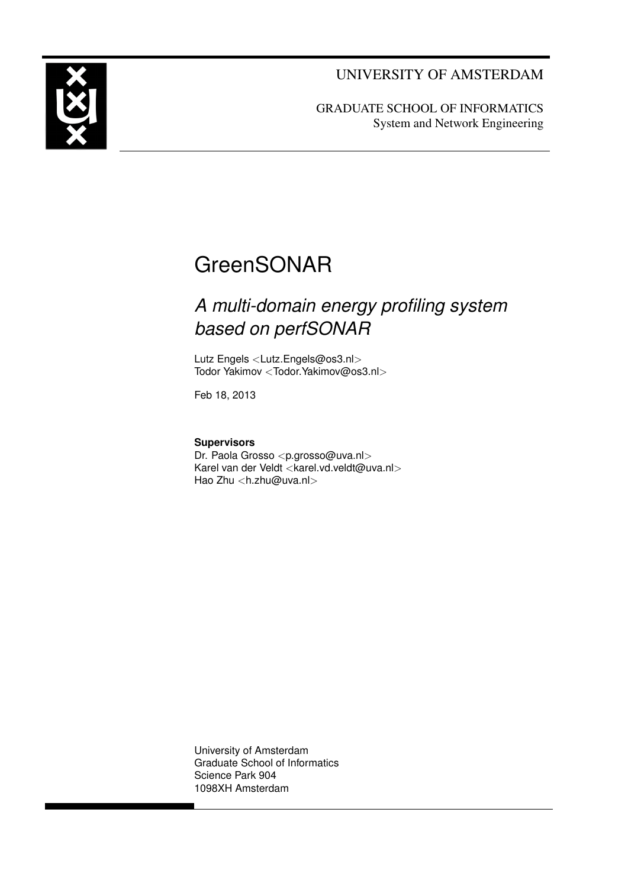UNIVERSITY OF AMSTERDAM



GRADUATE SCHOOL OF INFORMATICS System and Network Engineering

## **GreenSONAR**

## *A multi-domain energy profiling system based on perfSONAR*

Lutz Engels <[Lutz.Engels@os3.nl](mailto:lutz.engels@os3.nl)> Todor Yakimov <[Todor.Yakimov@os3.nl](mailto:todor.yakimov@os3.nl)>

Feb 18, 2013

**Supervisors**

Dr. Paola Grosso <[p.grosso@uva.nl](mailto:p.grosso@uva.nl)> Karel van der Veldt <[karel.vd.veldt@uva.nl](mailto:karel.vd.veldt@uva.nl)> Hao Zhu <[h.zhu@uva.nl](mailto:h.zhu@uva.nl)>

University of Amsterdam Graduate School of Informatics Science Park 904 1098XH Amsterdam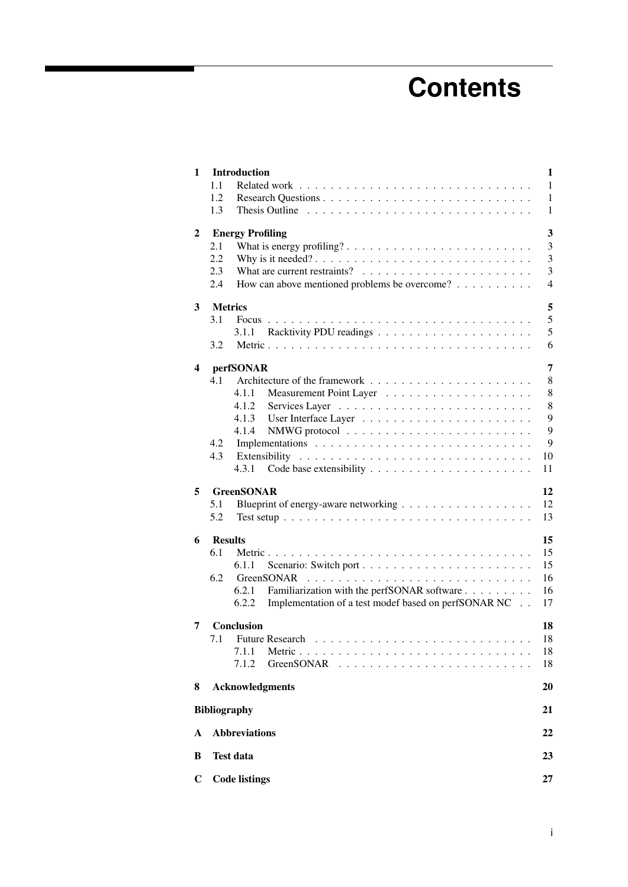# **Contents**

| 1           | <b>Introduction</b><br>1.1<br>1.2<br>1.3                                                                                                                                     | 1<br>$\mathbf{1}$<br>$\mathbf{1}$<br>$\mathbf{1}$ |
|-------------|------------------------------------------------------------------------------------------------------------------------------------------------------------------------------|---------------------------------------------------|
| 2           | <b>Energy Profiling</b><br>2.1<br>2.2<br>2.3<br>How can above mentioned problems be overcome?<br>2.4                                                                         | 3<br>3<br>3<br>3<br>4                             |
| 3           | <b>Metrics</b><br>3.1<br><b>Focus</b><br>3.1.1<br>3.2                                                                                                                        | 5<br>5<br>5<br>6                                  |
| 4           | perfSONAR<br>4.1<br>4.1.1<br>4.1.2<br>4.1.3<br>4.1.4<br>4.2<br>4.3<br>4.3.1                                                                                                  | 7<br>8<br>8<br>8<br>9<br>9<br>9<br>10<br>11       |
| 5           | <b>GreenSONAR</b><br>5.1<br>5.2                                                                                                                                              | 12<br>12<br>13                                    |
| 6           | <b>Results</b><br>6.1<br>6.1.1<br>6.2<br>GreenSONAR<br>Familiarization with the perfSONAR software<br>6.2.1<br>Implementation of a test modef based on perfSONAR NC<br>6.2.2 | 15<br>15<br>15<br>16<br>16<br>17                  |
| 7           | <b>Conclusion</b><br><b>Future Research</b><br>7.1<br>7.1.1<br>Metric<br>7.1.2<br>GreenSONAR                                                                                 | 18<br>18<br>18<br>18                              |
| 8           | <b>Acknowledgments</b>                                                                                                                                                       | 20                                                |
|             | <b>Bibliography</b>                                                                                                                                                          | 21                                                |
| A           | <b>Abbreviations</b>                                                                                                                                                         | 22                                                |
| B           | <b>Test data</b>                                                                                                                                                             | 23                                                |
| $\mathbf C$ | <b>Code listings</b>                                                                                                                                                         | 27                                                |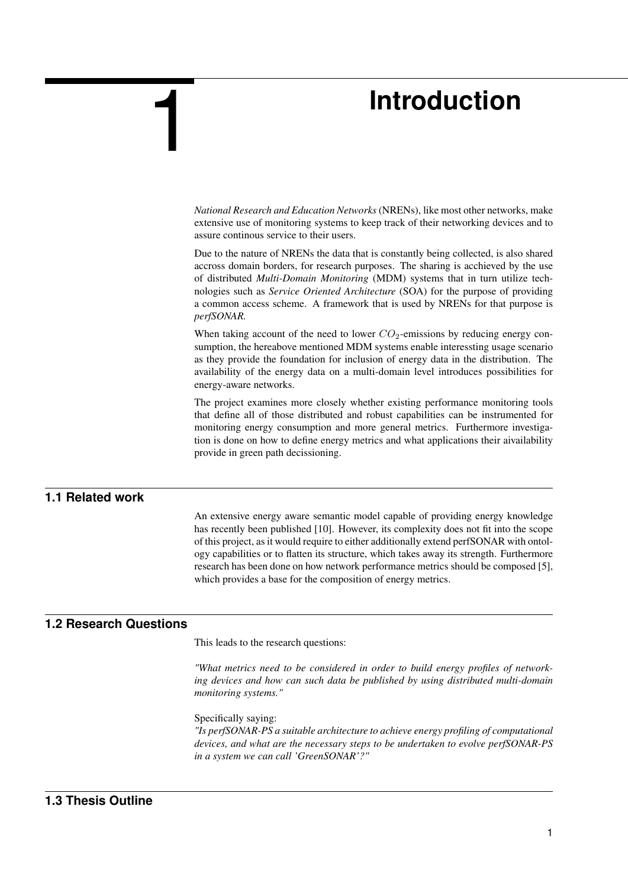## **Introduction**

*National Research and Education Networks* (NRENs), like most other networks, make extensive use of monitoring systems to keep track of their networking devices and to assure continous service to their users.

Due to the nature of NRENs the data that is constantly being collected, is also shared accross domain borders, for research purposes. The sharing is acchieved by the use of distributed *Multi-Domain Monitoring* (MDM) systems that in turn utilize technologies such as *Service Oriented Architecture* (SOA) for the purpose of providing a common access scheme. A framework that is used by NRENs for that purpose is *perfSONAR.*

When taking account of the need to lower  $CO<sub>2</sub>$ -emissions by reducing energy consumption, the hereabove mentioned MDM systems enable interessting usage scenario as they provide the foundation for inclusion of energy data in the distribution. The availability of the energy data on a multi-domain level introduces possibilities for energy-aware networks.

The project examines more closely whether existing performance monitoring tools that define all of those distributed and robust capabilities can be instrumented for monitoring energy consumption and more general metrics. Furthermore investigation is done on how to define energy metrics and what applications their aivailability provide in green path decissioning.

### **1.1 Related work**

<span id="page-2-0"></span>1

<span id="page-2-1"></span>An extensive energy aware semantic model capable of providing energy knowledge has recently been published [\[10\]](#page-22-1). However, its complexity does not fit into the scope of this project, as it would require to either additionally extend perfSONAR with ontology capabilities or to flatten its structure, which takes away its strength. Furthermore research has been done on how network performance metrics should be composed [\[5\]](#page-22-2), which provides a base for the composition of energy metrics.

## **1.2 Research Questions**

<span id="page-2-2"></span>This leads to the research questions:

*"What metrics need to be considered in order to build energy profiles of networking devices and how can such data be published by using distributed multi-domain monitoring systems."*

Specifically saying:

<span id="page-2-3"></span>*"Is perfSONAR-PS a suitable architecture to achieve energy profiling of computational devices, and what are the necessary steps to be undertaken to evolve perfSONAR-PS in a system we can call 'GreenSONAR'?"*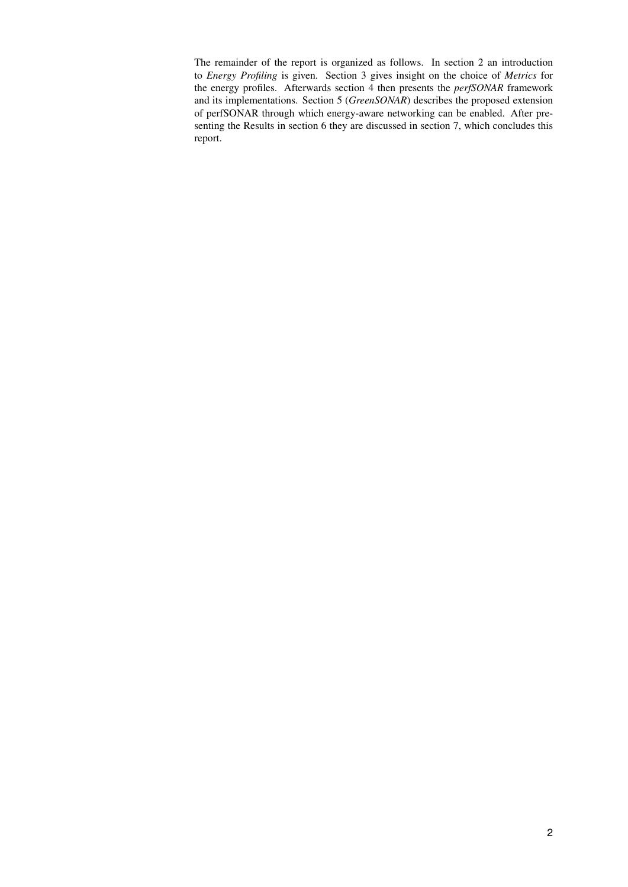The remainder of the report is organized as follows. In section [2](#page-4-0) an introduction to *[Energy Profiling](#page-4-0)* is given. Section [3](#page-6-0) gives insight on the choice of *[Metrics](#page-6-0)* for the energy profiles. Afterwards section [4](#page-8-0) then presents the *[perfSONAR](#page-8-0)* framework and its implementations. Section [5](#page-13-0) (*[GreenSONAR](#page-13-0)*) describes the proposed extension of perfSONAR through which energy-aware networking can be enabled. After presenting the [Results](#page-16-0) in section [6](#page-16-0) they are discussed in section [7,](#page-19-0) which concludes this report.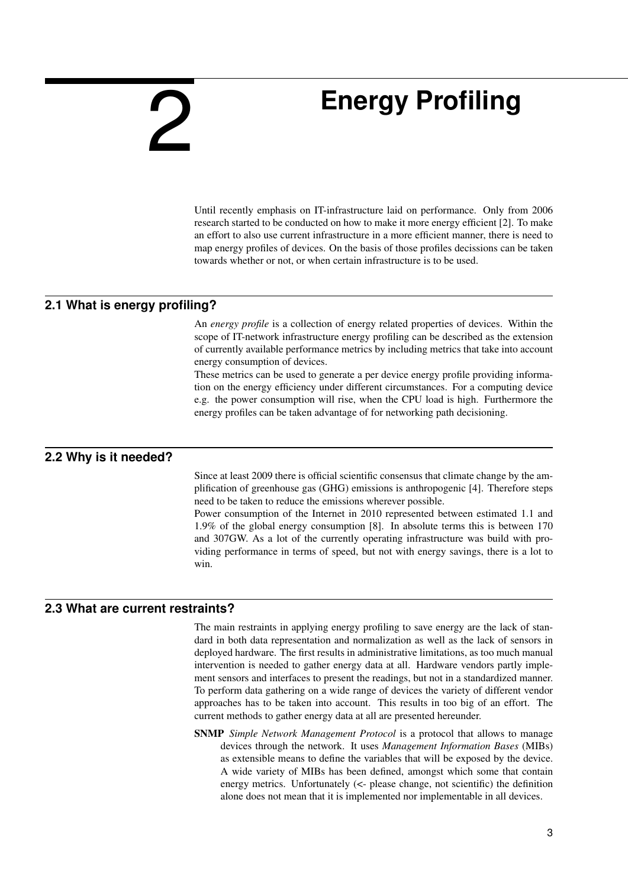# <span id="page-4-0"></span>2

# **Energy Profiling**

Until recently emphasis on IT-infrastructure laid on performance. Only from 2006 research started to be conducted on how to make it more energy efficient [\[2\]](#page-22-3). To make an effort to also use current infrastructure in a more efficient manner, there is need to map energy profiles of devices. On the basis of those profiles decissions can be taken towards whether or not, or when certain infrastructure is to be used.

## **2.1 What is energy profiling?**

<span id="page-4-1"></span>An *energy profile* is a collection of energy related properties of devices. Within the scope of IT-network infrastructure energy profiling can be described as the extension of currently available performance metrics by including metrics that take into account energy consumption of devices.

<span id="page-4-2"></span>These metrics can be used to generate a per device energy profile providing information on the energy efficiency under different circumstances. For a computing device e.g. the power consumption will rise, when the CPU load is high. Furthermore the energy profiles can be taken advantage of for networking path decisioning.

## **2.2 Why is it needed?**

Since at least 2009 there is official scientific consensus that climate change by the amplification of greenhouse gas (GHG) emissions is anthropogenic [\[4\]](#page-22-4). Therefore steps need to be taken to reduce the emissions wherever possible.

Power consumption of the Internet in 2010 represented between estimated 1.1 and 1.9% of the global energy consumption [\[8\]](#page-22-5). In absolute terms this is between 170 and 307GW. As a lot of the currently operating infrastructure was build with providing performance in terms of speed, but not with energy savings, there is a lot to win.

## **2.3 What are current restraints?**

<span id="page-4-3"></span>The main restraints in applying energy profiling to save energy are the lack of standard in both data representation and normalization as well as the lack of sensors in deployed hardware. The first results in administrative limitations, as too much manual intervention is needed to gather energy data at all. Hardware vendors partly implement sensors and interfaces to present the readings, but not in a standardized manner. To perform data gathering on a wide range of devices the variety of different vendor approaches has to be taken into account. This results in too big of an effort. The current methods to gather energy data at all are presented hereunder.

SNMP *Simple Network Management Protocol* is a protocol that allows to manage devices through the network. It uses *Management Information Bases* (MIBs) as extensible means to define the variables that will be exposed by the device. A wide variety of MIBs has been defined, amongst which some that contain energy metrics. Unfortunately (<- please change, not scientific) the definition alone does not mean that it is implemented nor implementable in all devices.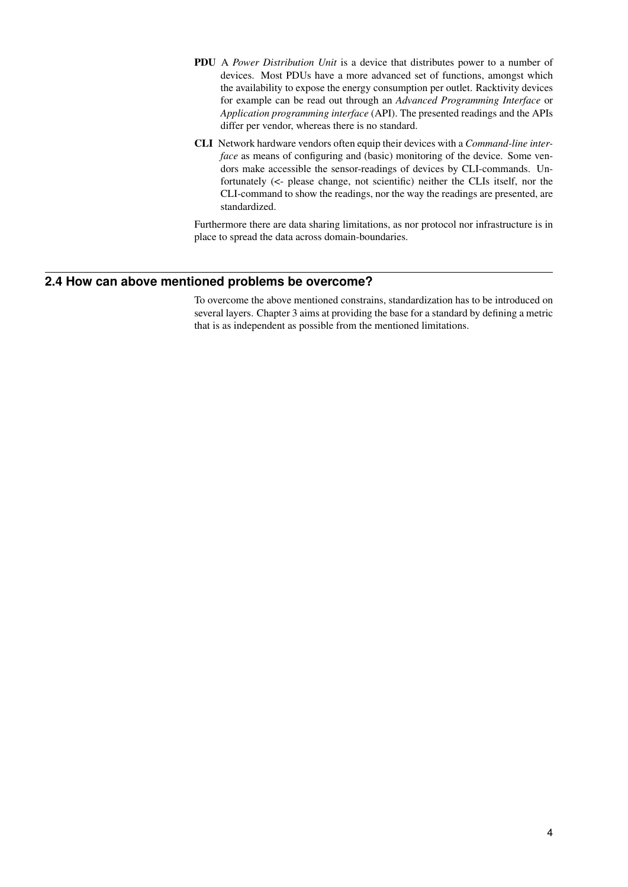- PDU A *Power Distribution Unit* is a device that distributes power to a number of devices. Most PDUs have a more advanced set of functions, amongst which the availability to expose the energy consumption per outlet. Racktivity devices for example can be read out through an *Advanced Programming Interface* or *Application programming interface* (API). The presented readings and the APIs differ per vendor, whereas there is no standard.
- CLI Network hardware vendors often equip their devices with a *Command-line interface* as means of configuring and (basic) monitoring of the device. Some vendors make accessible the sensor-readings of devices by CLI-commands. Unfortunately (<- please change, not scientific) neither the CLIs itself, nor the CLI-command to show the readings, nor the way the readings are presented, are standardized.

<span id="page-5-0"></span>Furthermore there are data sharing limitations, as nor protocol nor infrastructure is in place to spread the data across domain-boundaries.

#### **2.4 How can above mentioned problems be overcome?**

To overcome the above mentioned constrains, standardization has to be introduced on several layers. Chapter [3](#page-6-0) aims at providing the base for a standard by defining a metric that is as independent as possible from the mentioned limitations.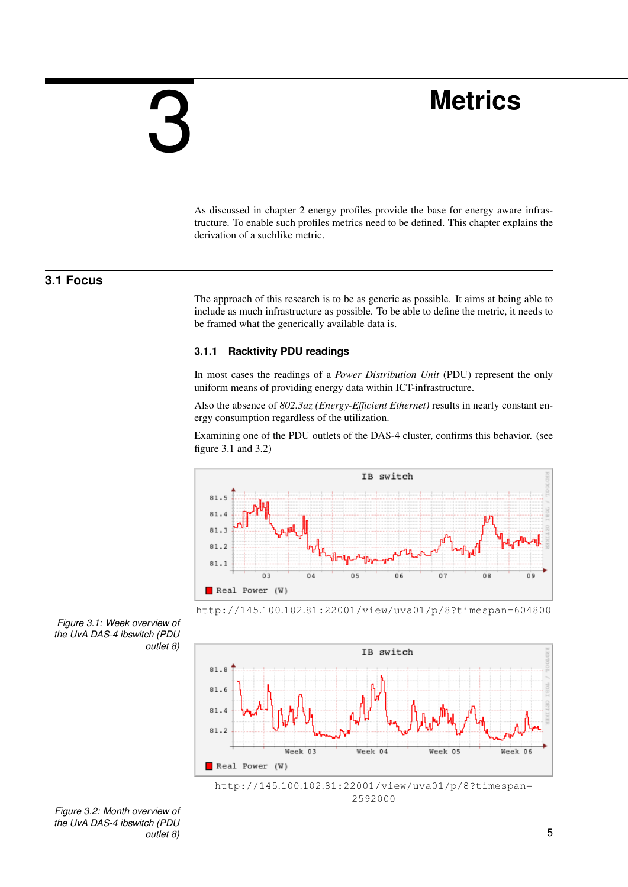# <span id="page-6-0"></span>3

# **Metrics**

<span id="page-6-1"></span>As discussed in chapter [2](#page-4-0) energy profiles provide the base for energy aware infrastructure. To enable such profiles metrics need to be defined. This chapter explains the derivation of a suchlike metric.

## **3.1 Focus**

The approach of this research is to be as generic as possible. It aims at being able to include as much infrastructure as possible. To be able to define the metric, it needs to be framed what the generically available data is.

#### <span id="page-6-2"></span>**3.1.1 Racktivity PDU readings**

In most cases the readings of a *Power Distribution Unit* (PDU) represent the only uniform means of providing energy data within ICT-infrastructure.

Also the absence of *802.3az (Energy-Efficient Ethernet)* results in nearly constant energy consumption regardless of the utilization.

Examining one of the PDU outlets of the DAS-4 cluster, confirms this behavior. (see figure [3.1](#page-6-3) and [3.2\)](#page-6-4)





<span id="page-6-3"></span>*Figure 3.1: Week overview of the UvA DAS-4 ibswitch (PDU outlet 8)*





<span id="page-6-4"></span>*Figure 3.2: Month overview of the UvA DAS-4 ibswitch (PDU outlet 8)* 5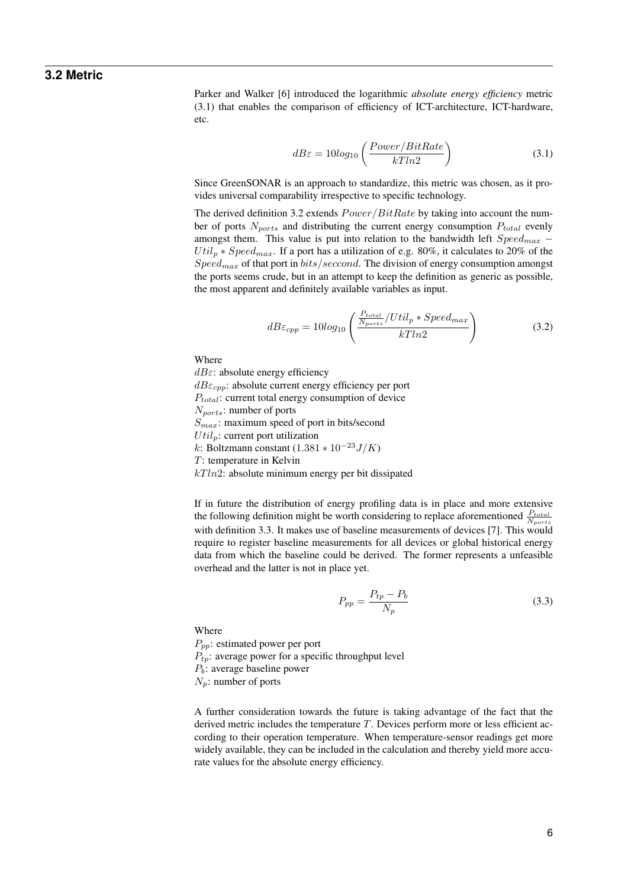### **3.2 Metric**

<span id="page-7-0"></span>Parker and Walker [\[6\]](#page-22-6) introduced the logarithmic *absolute energy efficiency* metric [\(3.1\)](#page-7-1) that enables the comparison of efficiency of ICT-architecture, ICT-hardware, etc.

<span id="page-7-1"></span>
$$
dB\varepsilon = 10\log_{10}\left(\frac{Power/BitRate}{kTln2}\right) \tag{3.1}
$$

Since GreenSONAR is an approach to standardize, this metric was chosen, as it provides universal comparability irrespective to specific technology.

The derived definition [3.2](#page-7-2) extends  $Power/BitRate$  by taking into account the number of ports  $N_{ports}$  and distributing the current energy consumption  $P_{total}$  evenly amongst them. This value is put into relation to the bandwidth left  $Speed_{max}$  –  $Util_n * Speed_{max}$ . If a port has a utilization of e.g. 80%, it calculates to 20% of the  $Speed_{max}$  of that port in  $bits/second$ . The division of energy consumption amongst the ports seems crude, but in an attempt to keep the definition as generic as possible, the most apparent and definitely available variables as input.

<span id="page-7-2"></span>
$$
dB\varepsilon_{cpp} = 10\log_{10}\left(\frac{P_{total}}{N_{ports}}/Util_p * Speed_{max}\right)
$$
 (3.2)

Where

 $dB \varepsilon$ : absolute energy efficiency  $dB\varepsilon_{cpp}$ : absolute current energy efficiency per port  $P_{total}$ : current total energy consumption of device  $N_{ports}$ : number of ports  $S_{max}$ : maximum speed of port in bits/second  $Util_p$ : current port utilization k: Boltzmann constant  $(1.381 * 10^{-23} J/K)$ T: temperature in Kelvin  $kTln2$ : absolute minimum energy per bit dissipated

If in future the distribution of energy profiling data is in place and more extensive the following definition might be worth considering to replace aforementioned  $\frac{P_{total}}{N_{ports}}$ with definition [3.3.](#page-7-3) It makes use of baseline measurements of devices [\[7\]](#page-22-7). This would require to register baseline measurements for all devices or global historical energy data from which the baseline could be derived. The former represents a unfeasible overhead and the latter is not in place yet.

<span id="page-7-3"></span>
$$
P_{pp} = \frac{P_{tp} - P_b}{N_p} \tag{3.3}
$$

**Where** 

 $P_{pp}$ : estimated power per port  $P_{tp}$ : average power for a specific throughput level  $P_b$ : average baseline power

 $N_p$ : number of ports

A further consideration towards the future is taking advantage of the fact that the derived metric includes the temperature T. Devices perform more or less efficient according to their operation temperature. When temperature-sensor readings get more widely available, they can be included in the calculation and thereby yield more accurate values for the absolute energy efficiency.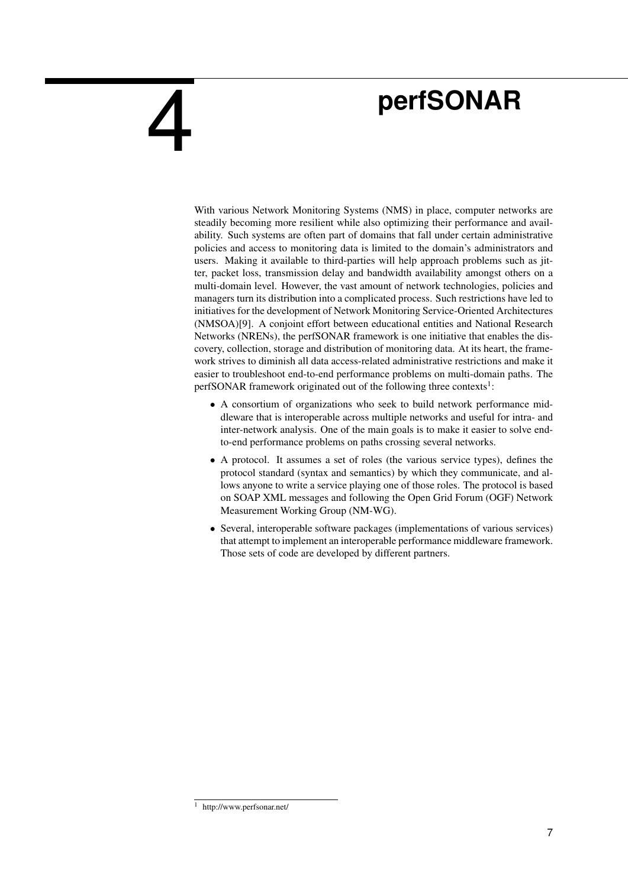# **perfSONAR**

With various Network Monitoring Systems (NMS) in place, computer networks are steadily becoming more resilient while also optimizing their performance and availability. Such systems are often part of domains that fall under certain administrative policies and access to monitoring data is limited to the domain's administrators and users. Making it available to third-parties will help approach problems such as jitter, packet loss, transmission delay and bandwidth availability amongst others on a multi-domain level. However, the vast amount of network technologies, policies and managers turn its distribution into a complicated process. Such restrictions have led to initiatives for the development of Network Monitoring Service-Oriented Architectures (NMSOA)[\[9\]](#page-22-8). A conjoint effort between educational entities and National Research Networks (NRENs), the perfSONAR framework is one initiative that enables the discovery, collection, storage and distribution of monitoring data. At its heart, the framework strives to diminish all data access-related administrative restrictions and make it easier to troubleshoot end-to-end performance problems on multi-domain paths. The perfSONAR framework originated out of the following three contexts<sup>[1](#page-8-1)</sup>:

- A consortium of organizations who seek to build network performance middleware that is interoperable across multiple networks and useful for intra- and inter-network analysis. One of the main goals is to make it easier to solve endto-end performance problems on paths crossing several networks.
- A protocol. It assumes a set of roles (the various service types), defines the protocol standard (syntax and semantics) by which they communicate, and allows anyone to write a service playing one of those roles. The protocol is based on SOAP XML messages and following the Open Grid Forum (OGF) Network Measurement Working Group (NM-WG).
- Several, interoperable software packages (implementations of various services) that attempt to implement an interoperable performance middleware framework. Those sets of code are developed by different partners.

<span id="page-8-0"></span>4

<span id="page-8-1"></span><sup>1</sup> http://www.perfsonar.net/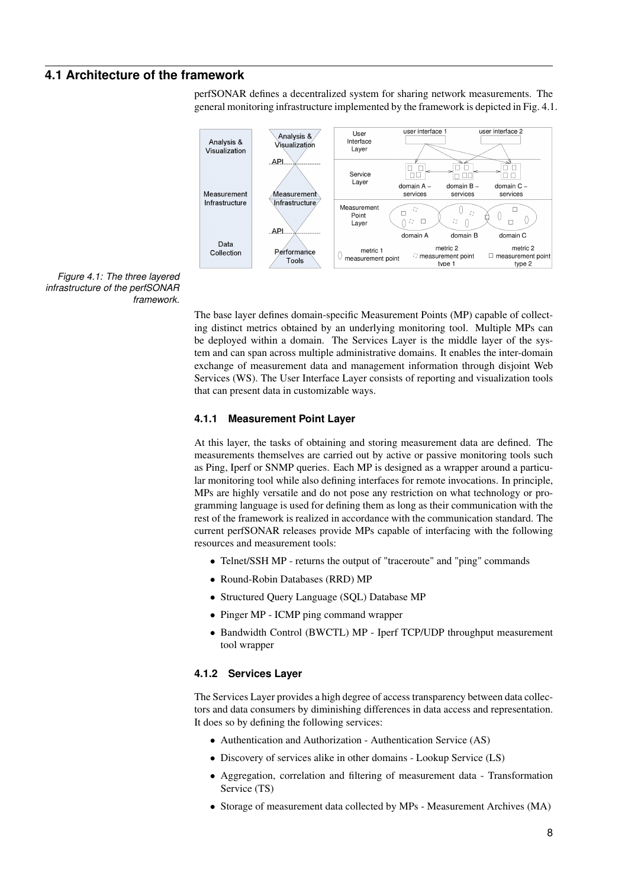## **4.1 Architecture of the framework**

<span id="page-9-0"></span>perfSONAR defines a decentralized system for sharing network measurements. The general monitoring infrastructure implemented by the framework is depicted in Fig. [4.1.](#page-9-3)



<span id="page-9-3"></span>*Figure 4.1: The three layered infrastructure of the perfSONAR framework.*

> The base layer defines domain-specific Measurement Points (MP) capable of collecting distinct metrics obtained by an underlying monitoring tool. Multiple MPs can be deployed within a domain. The Services Layer is the middle layer of the system and can span across multiple administrative domains. It enables the inter-domain exchange of measurement data and management information through disjoint Web Services (WS). The User Interface Layer consists of reporting and visualization tools that can present data in customizable ways.

#### <span id="page-9-1"></span>**4.1.1 Measurement Point Layer**

At this layer, the tasks of obtaining and storing measurement data are defined. The measurements themselves are carried out by active or passive monitoring tools such as Ping, Iperf or SNMP queries. Each MP is designed as a wrapper around a particular monitoring tool while also defining interfaces for remote invocations. In principle, MPs are highly versatile and do not pose any restriction on what technology or programming language is used for defining them as long as their communication with the rest of the framework is realized in accordance with the communication standard. The current perfSONAR releases provide MPs capable of interfacing with the following resources and measurement tools:

- Telnet/SSH MP returns the output of "traceroute" and "ping" commands
- Round-Robin Databases (RRD) MP
- Structured Query Language (SQL) Database MP
- Pinger MP ICMP ping command wrapper
- Bandwidth Control (BWCTL) MP Iperf TCP/UDP throughput measurement tool wrapper

#### <span id="page-9-2"></span>**4.1.2 Services Layer**

The Services Layer provides a high degree of access transparency between data collectors and data consumers by diminishing differences in data access and representation. It does so by defining the following services:

- Authentication and Authorization Authentication Service (AS)
- Discovery of services alike in other domains Lookup Service (LS)
- Aggregation, correlation and filtering of measurement data Transformation Service (TS)
- Storage of measurement data collected by MPs Measurement Archives (MA)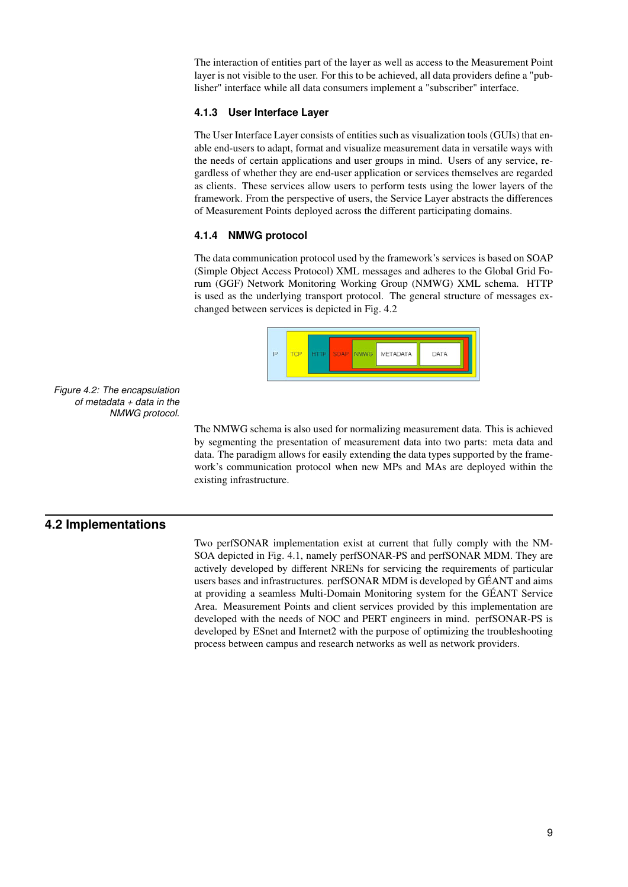The interaction of entities part of the layer as well as access to the Measurement Point layer is not visible to the user. For this to be achieved, all data providers define a "publisher" interface while all data consumers implement a "subscriber" interface.

#### <span id="page-10-0"></span>**4.1.3 User Interface Layer**

The User Interface Layer consists of entities such as visualization tools (GUIs) that enable end-users to adapt, format and visualize measurement data in versatile ways with the needs of certain applications and user groups in mind. Users of any service, regardless of whether they are end-user application or services themselves are regarded as clients. These services allow users to perform tests using the lower layers of the framework. From the perspective of users, the Service Layer abstracts the differences of Measurement Points deployed across the different participating domains.

#### <span id="page-10-1"></span>**4.1.4 NMWG protocol**

The data communication protocol used by the framework's services is based on SOAP (Simple Object Access Protocol) XML messages and adheres to the Global Grid Forum (GGF) Network Monitoring Working Group (NMWG) XML schema. HTTP is used as the underlying transport protocol. The general structure of messages exchanged between services is depicted in Fig. [4.2](#page-10-3)



<span id="page-10-3"></span>*Figure 4.2: The encapsulation of metadata + data in the NMWG protocol.*

> The NMWG schema is also used for normalizing measurement data. This is achieved by segmenting the presentation of measurement data into two parts: meta data and data. The paradigm allows for easily extending the data types supported by the framework's communication protocol when new MPs and MAs are deployed within the existing infrastructure.

#### **4.2 Implementations**

<span id="page-10-2"></span>Two perfSONAR implementation exist at current that fully comply with the NM-SOA depicted in Fig. [4.1,](#page-9-3) namely perfSONAR-PS and perfSONAR MDM. They are actively developed by different NRENs for servicing the requirements of particular users bases and infrastructures. perfSONAR MDM is developed by GÉANT and aims at providing a seamless Multi-Domain Monitoring system for the GÉANT Service Area. Measurement Points and client services provided by this implementation are developed with the needs of NOC and PERT engineers in mind. perfSONAR-PS is developed by ESnet and Internet2 with the purpose of optimizing the troubleshooting process between campus and research networks as well as network providers.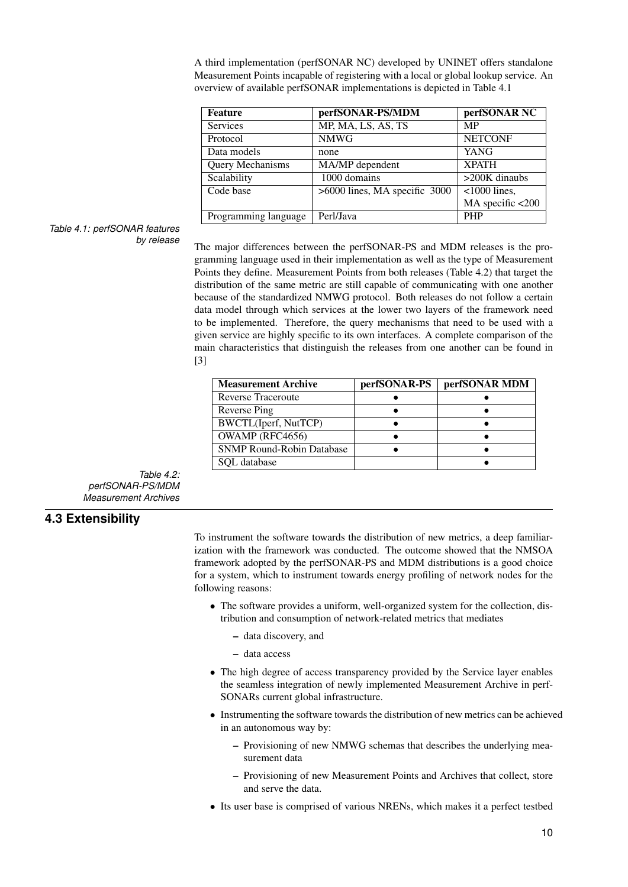A third implementation (perfSONAR NC) developed by UNINET offers standalone Measurement Points incapable of registering with a local or global lookup service. An overview of available perfSONAR implementations is depicted in Table [4.1](#page-11-1)

| <b>Feature</b>       | perfSONAR-PS/MDM              | perfSONAR NC     |
|----------------------|-------------------------------|------------------|
| <b>Services</b>      | MP, MA, LS, AS, TS            | <b>MP</b>        |
| Protocol             | <b>NMWG</b>                   | <b>NETCONF</b>   |
| Data models          | none                          | <b>YANG</b>      |
| Query Mechanisms     | MA/MP dependent               | <b>XPATH</b>     |
| Scalability          | 1000 domains                  | $>200K$ dinaubs  |
| Code base            | >6000 lines, MA specific 3000 | $< 1000$ lines,  |
|                      |                               | MA specific <200 |
| Programming language | Perl/Java                     | <b>PHP</b>       |

## <span id="page-11-1"></span>*Table 4.1: perfSONAR features*

*by release* The major differences between the perfSONAR-PS and MDM releases is the programming language used in their implementation as well as the type of Measurement Points they define. Measurement Points from both releases (Table [4.2\)](#page-11-2) that target the distribution of the same metric are still capable of communicating with one another because of the standardized NMWG protocol. Both releases do not follow a certain data model through which services at the lower two layers of the framework need to be implemented. Therefore, the query mechanisms that need to be used with a given service are highly specific to its own interfaces. A complete comparison of the main characteristics that distinguish the releases from one another can be found in [\[3\]](#page-22-9)

| <b>Measurement Archive</b>       | perfSONAR-PS | perfSONAR MDM |
|----------------------------------|--------------|---------------|
| <b>Reverse Traceroute</b>        |              |               |
| Reverse Ping                     |              |               |
| BWCTL(Iperf, NutTCP)             |              |               |
| OWAMP (RFC4656)                  |              |               |
| <b>SNMP Round-Robin Database</b> |              |               |
| SOL database                     |              |               |

<span id="page-11-2"></span>*Table 4.2: perfSONAR-PS/MDM Measurement Archives*

## **4.3 Extensibility**

<span id="page-11-0"></span>To instrument the software towards the distribution of new metrics, a deep familiarization with the framework was conducted. The outcome showed that the NMSOA framework adopted by the perfSONAR-PS and MDM distributions is a good choice for a system, which to instrument towards energy profiling of network nodes for the following reasons:

- The software provides a uniform, well-organized system for the collection, distribution and consumption of network-related metrics that mediates
	- data discovery, and
	- data access
- The high degree of access transparency provided by the Service layer enables the seamless integration of newly implemented Measurement Archive in perf-SONARs current global infrastructure.
- Instrumenting the software towards the distribution of new metrics can be achieved in an autonomous way by:
	- Provisioning of new NMWG schemas that describes the underlying measurement data
	- Provisioning of new Measurement Points and Archives that collect, store and serve the data.
- Its user base is comprised of various NRENs, which makes it a perfect testbed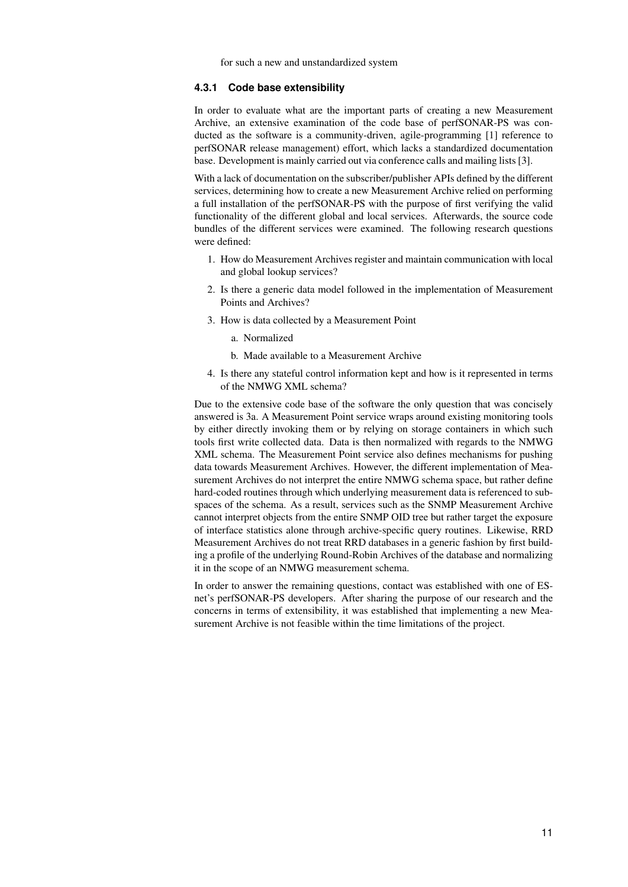for such a new and unstandardized system

#### <span id="page-12-0"></span>**4.3.1 Code base extensibility**

In order to evaluate what are the important parts of creating a new Measurement Archive, an extensive examination of the code base of perfSONAR-PS was conducted as the software is a community-driven, agile-programming [\[1\]](#page-22-0) reference to perfSONAR release management) effort, which lacks a standardized documentation base. Development is mainly carried out via conference calls and mailing lists [\[3\]](#page-22-9).

With a lack of documentation on the subscriber/publisher APIs defined by the different services, determining how to create a new Measurement Archive relied on performing a full installation of the perfSONAR-PS with the purpose of first verifying the valid functionality of the different global and local services. Afterwards, the source code bundles of the different services were examined. The following research questions were defined:

- 1. How do Measurement Archives register and maintain communication with local and global lookup services?
- 2. Is there a generic data model followed in the implementation of Measurement Points and Archives?
- 3. How is data collected by a Measurement Point
	- a. Normalized
	- b. Made available to a Measurement Archive
- 4. Is there any stateful control information kept and how is it represented in terms of the NMWG XML schema?

Due to the extensive code base of the software the only question that was concisely answered is 3a. A Measurement Point service wraps around existing monitoring tools by either directly invoking them or by relying on storage containers in which such tools first write collected data. Data is then normalized with regards to the NMWG XML schema. The Measurement Point service also defines mechanisms for pushing data towards Measurement Archives. However, the different implementation of Measurement Archives do not interpret the entire NMWG schema space, but rather define hard-coded routines through which underlying measurement data is referenced to subspaces of the schema. As a result, services such as the SNMP Measurement Archive cannot interpret objects from the entire SNMP OID tree but rather target the exposure of interface statistics alone through archive-specific query routines. Likewise, RRD Measurement Archives do not treat RRD databases in a generic fashion by first building a profile of the underlying Round-Robin Archives of the database and normalizing it in the scope of an NMWG measurement schema.

In order to answer the remaining questions, contact was established with one of ESnet's perfSONAR-PS developers. After sharing the purpose of our research and the concerns in terms of extensibility, it was established that implementing a new Measurement Archive is not feasible within the time limitations of the project.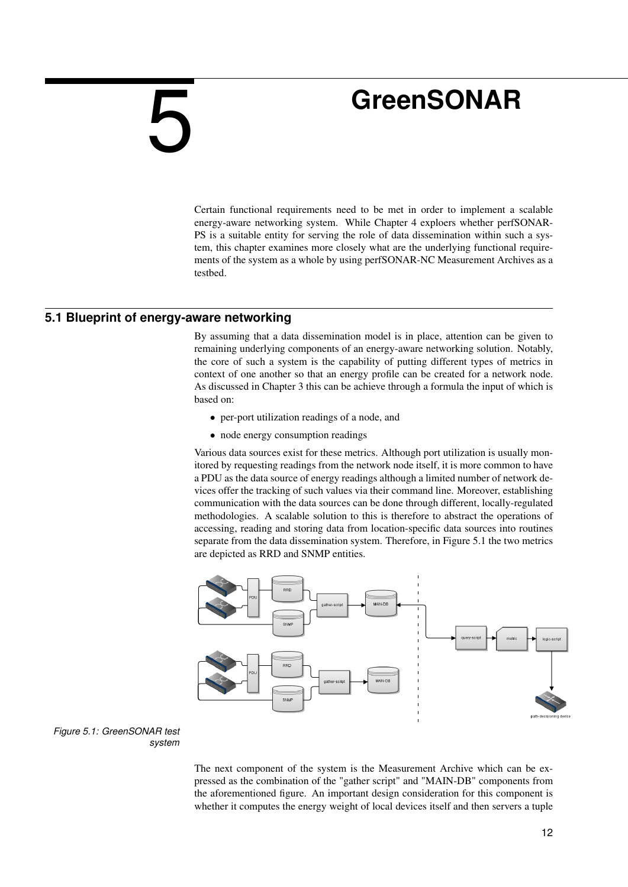# <span id="page-13-0"></span>5

## **GreenSONAR**

Certain functional requirements need to be met in order to implement a scalable energy-aware networking system. While Chapter [4](#page-8-0) exploers whether perfSONAR-PS is a suitable entity for serving the role of data dissemination within such a system, this chapter examines more closely what are the underlying functional requirements of the system as a whole by using perfSONAR-NC Measurement Archives as a testbed.

### **5.1 Blueprint of energy-aware networking**

<span id="page-13-1"></span>By assuming that a data dissemination model is in place, attention can be given to remaining underlying components of an energy-aware networking solution. Notably, the core of such a system is the capability of putting different types of metrics in context of one another so that an energy profile can be created for a network node. As discussed in Chapter [3](#page-6-0) this can be achieve through a formula the input of which is based on:

- per-port utilization readings of a node, and
- node energy consumption readings

Various data sources exist for these metrics. Although port utilization is usually monitored by requesting readings from the network node itself, it is more common to have a PDU as the data source of energy readings although a limited number of network devices offer the tracking of such values via their command line. Moreover, establishing communication with the data sources can be done through different, locally-regulated methodologies. A scalable solution to this is therefore to abstract the operations of accessing, reading and storing data from location-specific data sources into routines separate from the data dissemination system. Therefore, in Figure [5.1](#page-13-2) the two metrics are depicted as RRD and SNMP entities.



<span id="page-13-2"></span>*Figure 5.1: GreenSONAR test system*

> The next component of the system is the Measurement Archive which can be expressed as the combination of the "gather script" and "MAIN-DB" components from the aforementioned figure. An important design consideration for this component is whether it computes the energy weight of local devices itself and then servers a tuple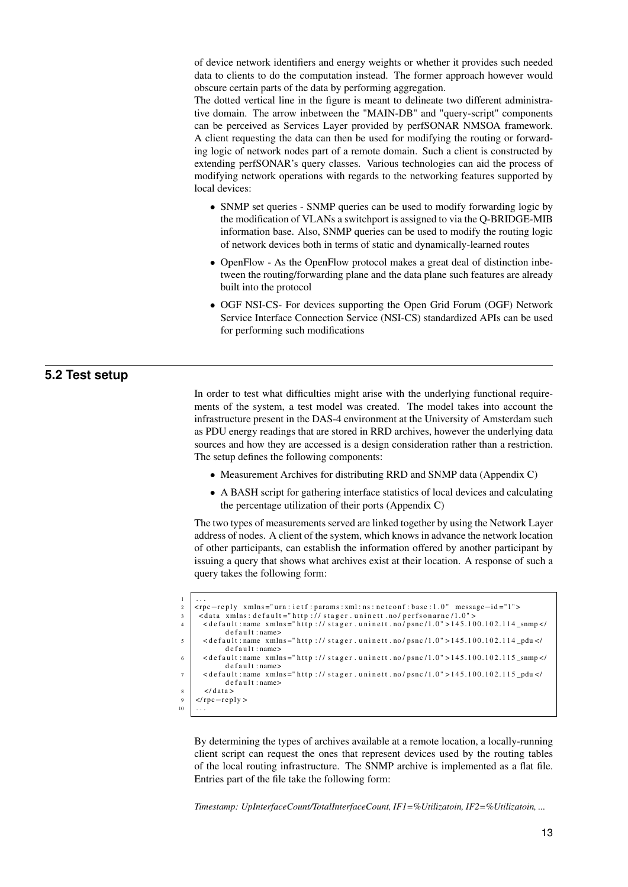of device network identifiers and energy weights or whether it provides such needed data to clients to do the computation instead. The former approach however would obscure certain parts of the data by performing aggregation.

The dotted vertical line in the figure is meant to delineate two different administrative domain. The arrow inbetween the "MAIN-DB" and "query-script" components can be perceived as Services Layer provided by perfSONAR NMSOA framework. A client requesting the data can then be used for modifying the routing or forwarding logic of network nodes part of a remote domain. Such a client is constructed by extending perfSONAR's query classes. Various technologies can aid the process of modifying network operations with regards to the networking features supported by local devices:

- SNMP set queries SNMP queries can be used to modify forwarding logic by the modification of VLANs a switchport is assigned to via the Q-BRIDGE-MIB information base. Also, SNMP queries can be used to modify the routing logic of network devices both in terms of static and dynamically-learned routes
- OpenFlow As the OpenFlow protocol makes a great deal of distinction inbetween the routing/forwarding plane and the data plane such features are already built into the protocol
- <span id="page-14-0"></span>• OGF NSI-CS- For devices supporting the Open Grid Forum (OGF) Network Service Interface Connection Service (NSI-CS) standardized APIs can be used for performing such modifications

### **5.2 Test setup**

In order to test what difficulties might arise with the underlying functional requirements of the system, a test model was created. The model takes into account the infrastructure present in the DAS-4 environment at the University of Amsterdam such as PDU energy readings that are stored in RRD archives, however the underlying data sources and how they are accessed is a design consideration rather than a restriction. The setup defines the following components:

- Measurement Archives for distributing RRD and SNMP data (Appendix [C\)](#page-28-0)
- A BASH script for gathering interface statistics of local devices and calculating the percentage utilization of their ports (Appendix [C\)](#page-28-0)

The two types of measurements served are linked together by using the Network Layer address of nodes. A client of the system, which knows in advance the network location of other participants, can establish the information offered by another participant by issuing a query that shows what archives exist at their location. A response of such a query takes the following form:

```
1 \mid \ldots2 | <rpc−reply xmlns="urn : i et f : params : xml : ns : netconf : base : 1.0" message-id="1">
\frac{1}{3} < data xmlns : default ="http :// stager . uninett . no/ perfsonarnc/1.0">
\left\{\n \begin{array}{l}\n \text{4} \\
 \text{4} \\
 \text{5} \\
 \text{6} \\
 \text{6} \\
 \text{7}\n \end{array}\n \right.\n \times \text{6} \\
\text{7} \times \text{7} \\
 \text{8} \times \text{8} \\
 \text{9} \times \text{9} \\
 \text{10} \times \text{10} \\
 \text{11} \times \text{11} \\
 \text{12} \times \text{13} \\
 \text{13} \times \text{14} \\
 \text{14} \times \text{15} \\
 \text{15} \times \text{16} \\
 \text{16} \times \text{17} \\
 \text{17} \times \de f a u l t : name>
 \sim default: name xmlns="http://stager.uninett.no/psnc/1.0">145.100.102.114_pdu </
                   d e f a u l t : name>
 6 <br>
\leq default:name xmlns="http://stager.uninett.no/psnc/1.0">145.100.102.115_snmp</
                   def au lt: name\geq7 <default:name xmlns="http://stager.uninett.no/psnc/1.0">145.100.102.115_pdu </
                   de f a u l t : name>
           \langle d at a >9 \mid \langle rpc-reply >
10^{-1}
```
By determining the types of archives available at a remote location, a locally-running client script can request the ones that represent devices used by the routing tables of the local routing infrastructure. The SNMP archive is implemented as a flat file. Entries part of the file take the following form:

*Timestamp: UpInterfaceCount/TotalInterfaceCount, IF1=%Utilizatoin, IF2=%Utilizatoin, ...*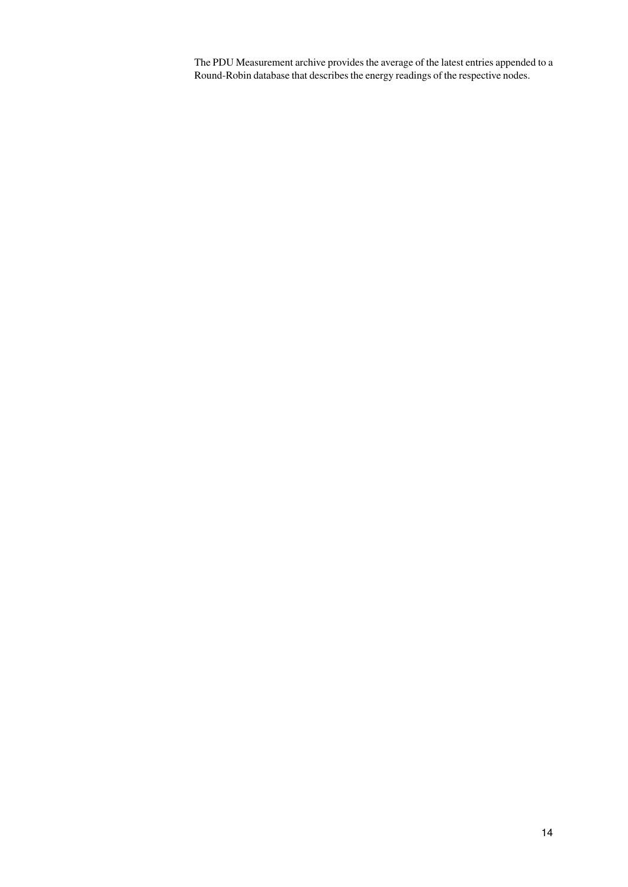The PDU Measurement archive provides the average of the latest entries appended to a Round-Robin database that describes the energy readings of the respective nodes.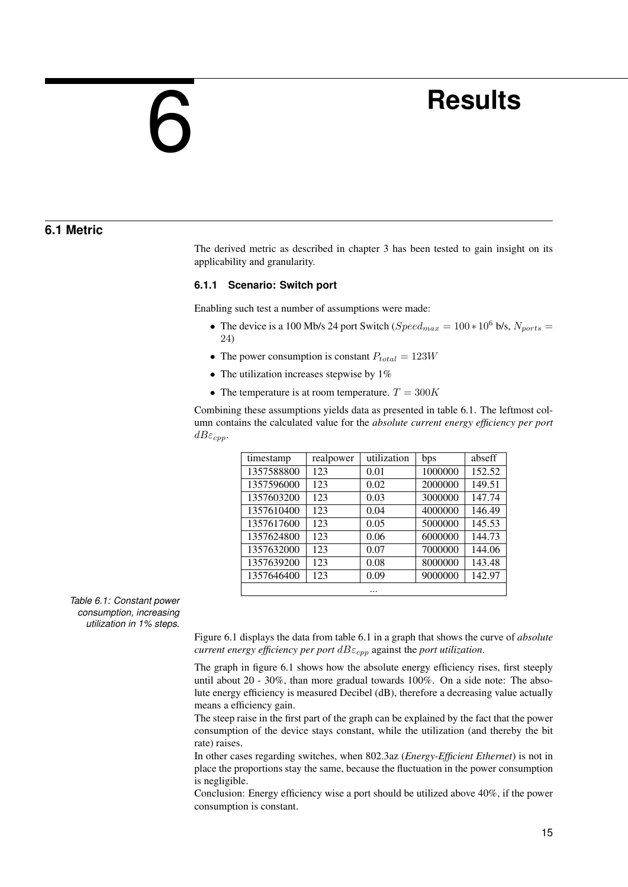# <span id="page-16-0"></span>6

## **Results**

### **6.1 Metric**

<span id="page-16-1"></span>The derived metric as described in chapter [3](#page-6-0) has been tested to gain insight on its applicability and granularity.

#### <span id="page-16-2"></span>**6.1.1 Scenario: Switch port**

Enabling such test a number of assumptions were made:

- The device is a 100 Mb/s 24 port Switch ( $Speed_{max} = 100 * 10^6$  b/s,  $N_{ports}$ 24)
- The power consumption is constant  $P_{total} = 123W$
- The utilization increases stepwise by 1%
- The temperature is at room temperature.  $T = 300K$

Combining these assumptions yields data as presented in table [6.1.](#page-16-3) The leftmost column contains the calculated value for the *absolute current energy efficiency per port*  $dB\varepsilon_{cpp}$ .

| timestamp  | realpower | utilization | bps     | abseff |
|------------|-----------|-------------|---------|--------|
| 1357588800 | 123       | 0.01        | 1000000 | 152.52 |
| 1357596000 | 123       | 0.02        | 2000000 | 149.51 |
| 1357603200 | 123       | 0.03        | 3000000 | 147.74 |
| 1357610400 | 123       | 0.04        | 4000000 | 146.49 |
| 1357617600 | 123       | 0.05        | 5000000 | 145.53 |
| 1357624800 | 123       | 0.06        | 6000000 | 144.73 |
| 1357632000 | 123       | 0.07        | 7000000 | 144.06 |
| 1357639200 | 123       | 0.08        | 8000000 | 143.48 |
| 1357646400 | 123       | 0.09        | 9000000 | 142.97 |
|            |           |             |         |        |

<span id="page-16-3"></span>*Table 6.1: Constant power consumption, increasing utilization in 1% steps.*

> Figure [6.1](#page-17-2) displays the data from table [6.1](#page-16-3) in a graph that shows the curve of *absolute current energy efficiency per port*  $dB \varepsilon_{cpp}$  against the *port utilization*.

> The graph in figure [6.1](#page-17-2) shows how the absolute energy efficiency rises, first steeply until about 20 - 30%, than more gradual towards 100%. On a side note: The absolute energy efficiency is measured Decibel (dB), therefore a decreasing value actually means a efficiency gain.

> The steep raise in the first part of the graph can be explained by the fact that the power consumption of the device stays constant, while the utilization (and thereby the bit rate) raises.

> In other cases regarding switches, when 802.3az (*Energy-Efficient Ethernet*) is not in place the proportions stay the same, because the fluctuation in the power consumption is negligible.

> Conclusion: Energy efficiency wise a port should be utilized above 40%, if the power consumption is constant.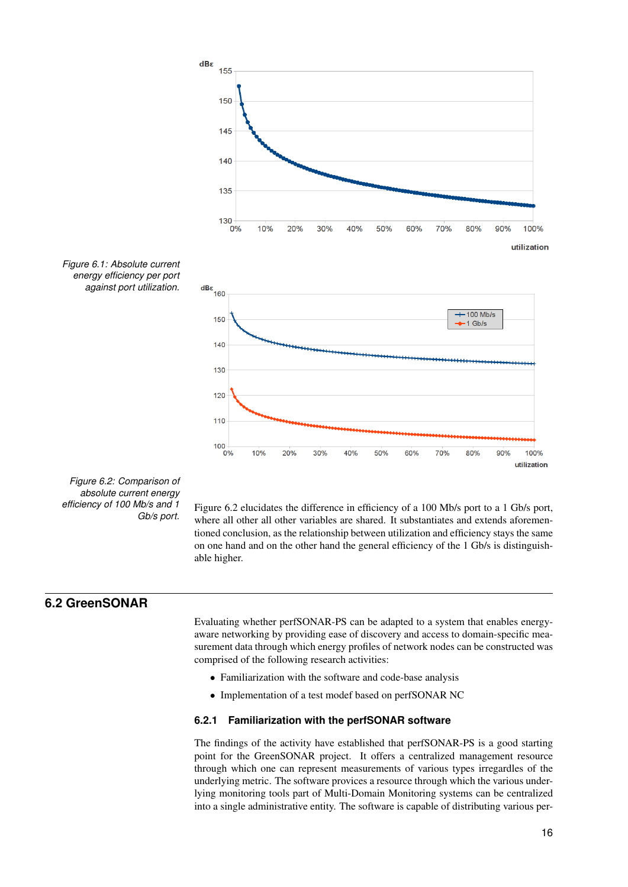

<span id="page-17-3"></span><span id="page-17-2"></span>*Figure 6.2: Comparison of absolute current energy efficiency of 100 Mb/s and 1 Gb/s port.*

Figure [6.2](#page-17-3) elucidates the difference in efficiency of a 100 Mb/s port to a 1 Gb/s port, where all other all other variables are shared. It substantiates and extends aforementioned conclusion, as the relationship between utilization and efficiency stays the same on one hand and on the other hand the general efficiency of the 1 Gb/s is distinguishable higher.

## **6.2 GreenSONAR**

<span id="page-17-0"></span>Evaluating whether perfSONAR-PS can be adapted to a system that enables energyaware networking by providing ease of discovery and access to domain-specific measurement data through which energy profiles of network nodes can be constructed was comprised of the following research activities:

- Familiarization with the software and code-base analysis
- Implementation of a test modef based on perfSONAR NC

#### <span id="page-17-1"></span>**6.2.1 Familiarization with the perfSONAR software**

The findings of the activity have established that perfSONAR-PS is a good starting point for the GreenSONAR project. It offers a centralized management resource through which one can represent measurements of various types irregardles of the underlying metric. The software provices a resource through which the various underlying monitoring tools part of Multi-Domain Monitoring systems can be centralized into a single administrative entity. The software is capable of distributing various per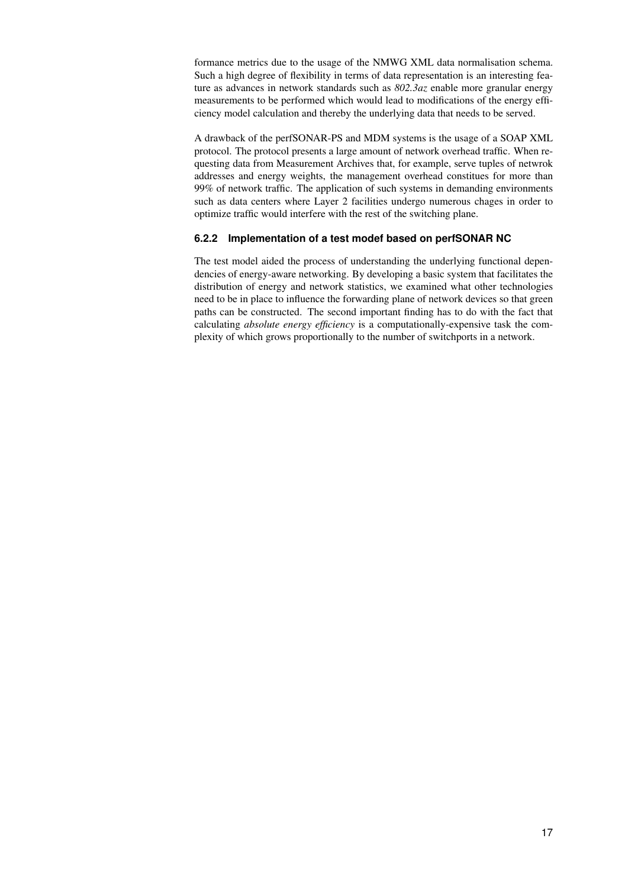formance metrics due to the usage of the NMWG XML data normalisation schema. Such a high degree of flexibility in terms of data representation is an interesting feature as advances in network standards such as *802.3az* enable more granular energy measurements to be performed which would lead to modifications of the energy efficiency model calculation and thereby the underlying data that needs to be served.

A drawback of the perfSONAR-PS and MDM systems is the usage of a SOAP XML protocol. The protocol presents a large amount of network overhead traffic. When requesting data from Measurement Archives that, for example, serve tuples of netwrok addresses and energy weights, the management overhead constitues for more than 99% of network traffic. The application of such systems in demanding environments such as data centers where Layer 2 facilities undergo numerous chages in order to optimize traffic would interfere with the rest of the switching plane.

#### <span id="page-18-0"></span>**6.2.2 Implementation of a test modef based on perfSONAR NC**

The test model aided the process of understanding the underlying functional dependencies of energy-aware networking. By developing a basic system that facilitates the distribution of energy and network statistics, we examined what other technologies need to be in place to influence the forwarding plane of network devices so that green paths can be constructed. The second important finding has to do with the fact that calculating *absolute energy efficiency* is a computationally-expensive task the complexity of which grows proportionally to the number of switchports in a network.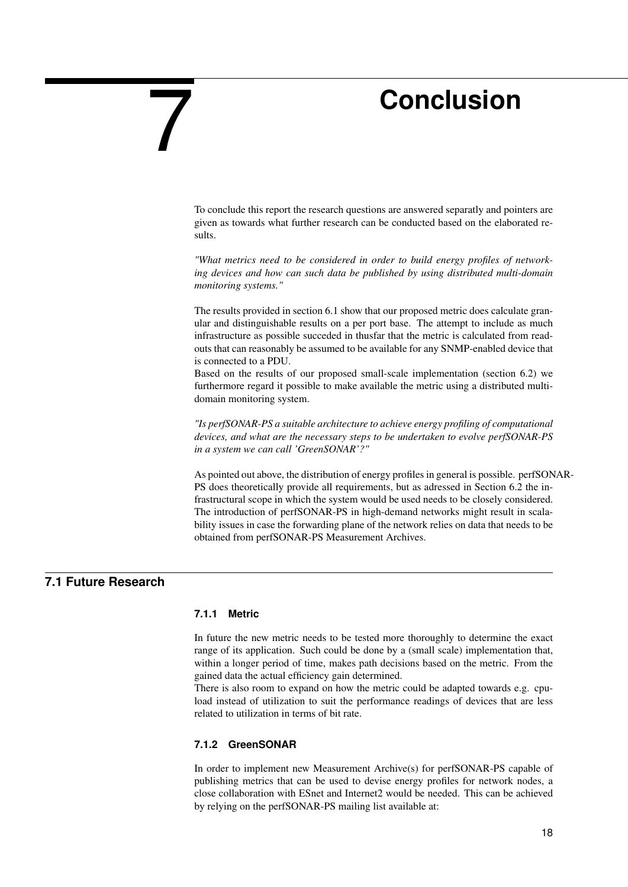## **Conclusion**

To conclude this report the research questions are answered separatly and pointers are given as towards what further research can be conducted based on the elaborated results.

*"What metrics need to be considered in order to build energy profiles of networking devices and how can such data be published by using distributed multi-domain monitoring systems."*

The results provided in section [6.1](#page-16-1) show that our proposed metric does calculate granular and distinguishable results on a per port base. The attempt to include as much infrastructure as possible succeded in thusfar that the metric is calculated from readouts that can reasonably be assumed to be available for any SNMP-enabled device that is connected to a PDU.

Based on the results of our proposed small-scale implementation (section [6.2\)](#page-17-0) we furthermore regard it possible to make available the metric using a distributed multidomain monitoring system.

*"Is perfSONAR-PS a suitable architecture to achieve energy profiling of computational devices, and what are the necessary steps to be undertaken to evolve perfSONAR-PS in a system we can call 'GreenSONAR'?"*

As pointed out above, the distribution of energy profiles in general is possible. perfSONAR-PS does theoretically provide all requirements, but as adressed in Section [6.2](#page-17-0) the infrastructural scope in which the system would be used needs to be closely considered. The introduction of perfSONAR-PS in high-demand networks might result in scalability issues in case the forwarding plane of the network relies on data that needs to be obtained from perfSONAR-PS Measurement Archives.

## **7.1 Future Research**

#### <span id="page-19-2"></span><span id="page-19-1"></span>**7.1.1 Metric**

<span id="page-19-0"></span>7

In future the new metric needs to be tested more thoroughly to determine the exact range of its application. Such could be done by a (small scale) implementation that, within a longer period of time, makes path decisions based on the metric. From the gained data the actual efficiency gain determined.

There is also room to expand on how the metric could be adapted towards e.g. cpuload instead of utilization to suit the performance readings of devices that are less related to utilization in terms of bit rate.

#### <span id="page-19-3"></span>**7.1.2 GreenSONAR**

In order to implement new Measurement Archive(s) for perfSONAR-PS capable of publishing metrics that can be used to devise energy profiles for network nodes, a close collaboration with ESnet and Internet2 would be needed. This can be achieved by relying on the perfSONAR-PS mailing list available at: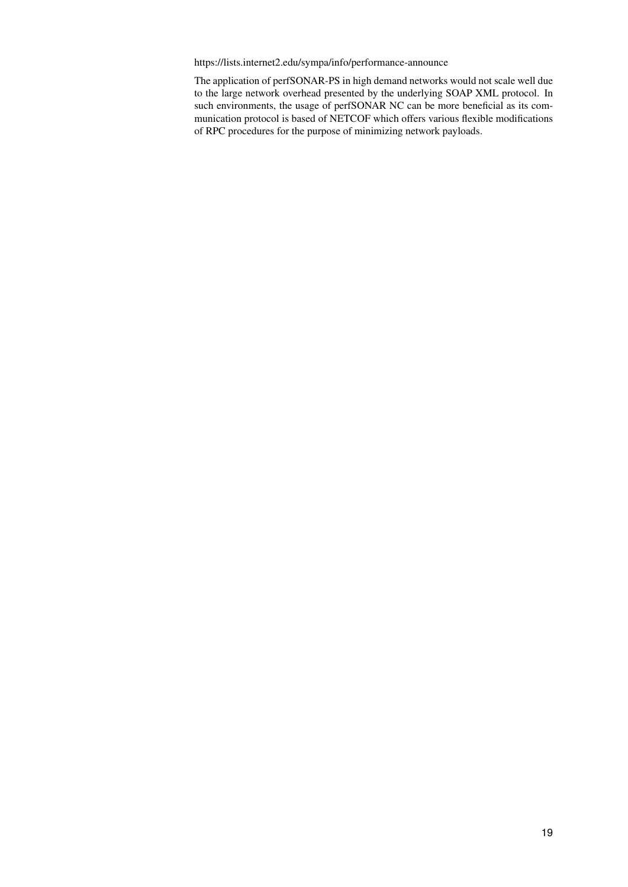<https://lists.internet2.edu/sympa/info/performance-announce>

The application of perfSONAR-PS in high demand networks would not scale well due to the large network overhead presented by the underlying SOAP XML protocol. In such environments, the usage of perfSONAR NC can be more beneficial as its communication protocol is based of NETCOF which offers various flexible modifications of RPC procedures for the purpose of minimizing network payloads.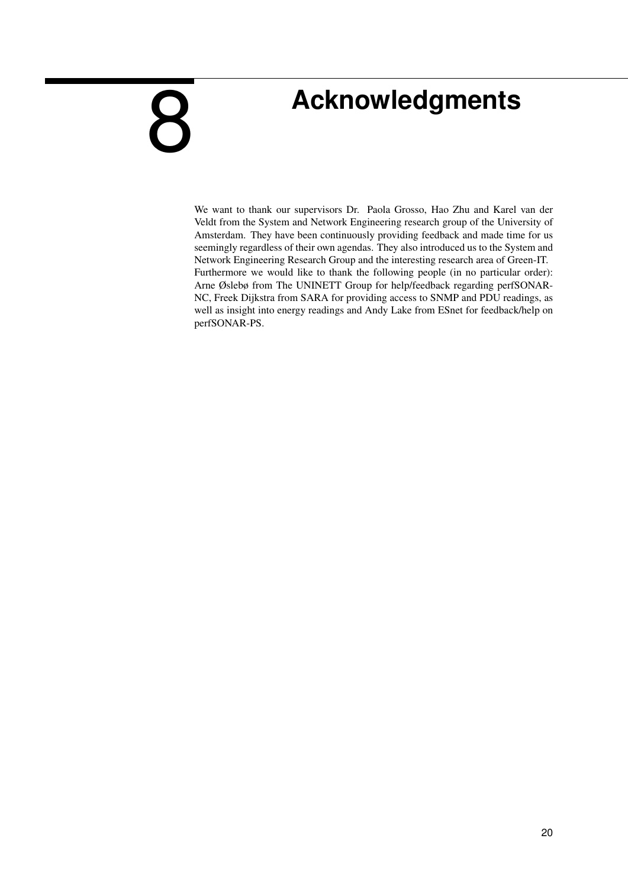# **Acknowledgments**

<span id="page-21-0"></span>9

We want to thank our supervisors Dr. Paola Grosso, Hao Zhu and Karel van der Veldt from the System and Network Engineering research group of the University of Amsterdam. They have been continuously providing feedback and made time for us seemingly regardless of their own agendas. They also introduced us to the System and Network Engineering Research Group and the interesting research area of Green-IT. Furthermore we would like to thank the following people (in no particular order): Arne Øslebø from The UNINETT Group for help/feedback regarding perfSONAR-NC, Freek Dijkstra from SARA for providing access to SNMP and PDU readings, as well as insight into energy readings and Andy Lake from ESnet for feedback/help on perfSONAR-PS.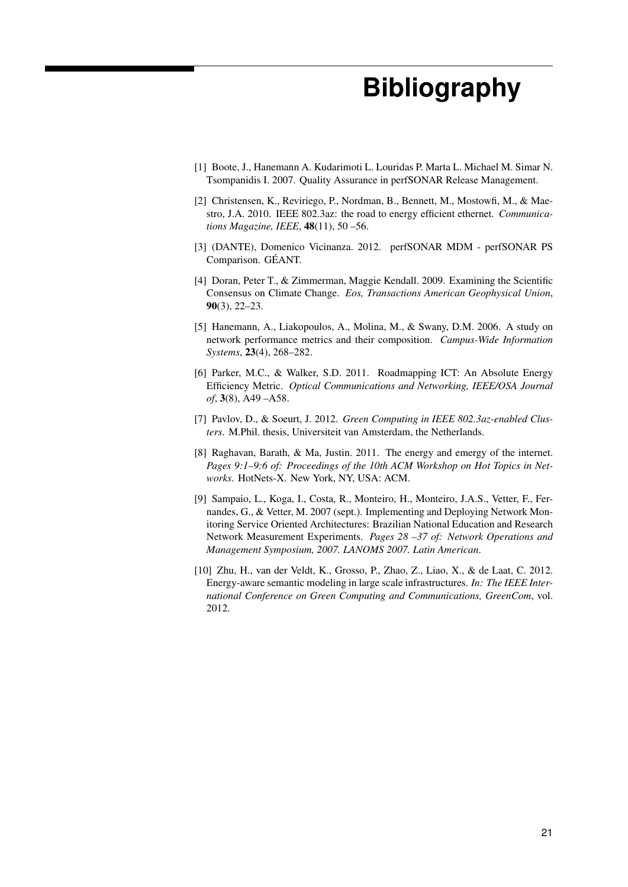# **Bibliography**

- <span id="page-22-0"></span>[1] Boote, J., Hanemann A. Kudarimoti L. Louridas P. Marta L. Michael M. Simar N. Tsompanidis I. 2007. Quality Assurance in perfSONAR Release Management.
- <span id="page-22-3"></span>[2] Christensen, K., Reviriego, P., Nordman, B., Bennett, M., Mostowfi, M., & Maestro, J.A. 2010. IEEE 802.3az: the road to energy efficient ethernet. *Communications Magazine, IEEE*, 48(11), 50 –56.
- <span id="page-22-9"></span>[3] (DANTE), Domenico Vicinanza. 2012. perfSONAR MDM - perfSONAR PS Comparison. GÉANT.
- <span id="page-22-4"></span>[4] Doran, Peter T., & Zimmerman, Maggie Kendall. 2009. Examining the Scientific Consensus on Climate Change. *Eos, Transactions American Geophysical Union*, 90(3), 22–23.
- <span id="page-22-2"></span>[5] Hanemann, A., Liakopoulos, A., Molina, M., & Swany, D.M. 2006. A study on network performance metrics and their composition. *Campus-Wide Information Systems*, 23(4), 268–282.
- <span id="page-22-6"></span>[6] Parker, M.C., & Walker, S.D. 2011. Roadmapping ICT: An Absolute Energy Efficiency Metric. *Optical Communications and Networking, IEEE/OSA Journal of*, 3(8), A49 –A58.
- <span id="page-22-7"></span>[7] Pavlov, D., & Soeurt, J. 2012. *Green Computing in IEEE 802.3az-enabled Clusters*. M.Phil. thesis, Universiteit van Amsterdam, the Netherlands.
- <span id="page-22-5"></span>[8] Raghavan, Barath, & Ma, Justin. 2011. The energy and emergy of the internet. *Pages 9:1–9:6 of: Proceedings of the 10th ACM Workshop on Hot Topics in Networks*. HotNets-X. New York, NY, USA: ACM.
- <span id="page-22-8"></span>[9] Sampaio, L., Koga, I., Costa, R., Monteiro, H., Monteiro, J.A.S., Vetter, F., Fernandes, G., & Vetter, M. 2007 (sept.). Implementing and Deploying Network Monitoring Service Oriented Architectures: Brazilian National Education and Research Network Measurement Experiments. *Pages 28 –37 of: Network Operations and Management Symposium, 2007. LANOMS 2007. Latin American*.
- <span id="page-22-1"></span>[10] Zhu, H., van der Veldt, K., Grosso, P., Zhao, Z., Liao, X., & de Laat, C. 2012. Energy-aware semantic modeling in large scale infrastructures. *In: The IEEE International Conference on Green Computing and Communications, GreenCom*, vol. 2012.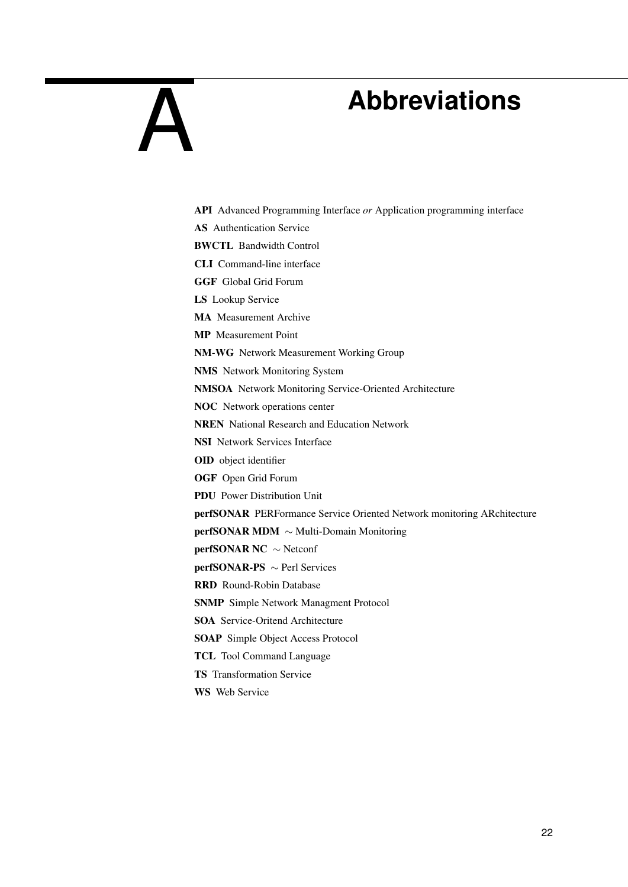# <span id="page-23-0"></span>A

## **Abbreviations**

API Advanced Programming Interface *or* Application programming interface AS Authentication Service BWCTL Bandwidth Control CLI Command-line interface GGF Global Grid Forum LS Lookup Service MA Measurement Archive MP Measurement Point NM-WG Network Measurement Working Group NMS Network Monitoring System NMSOA Network Monitoring Service-Oriented Architecture NOC Network operations center NREN National Research and Education Network NSI Network Services Interface OID object identifier OGF Open Grid Forum PDU Power Distribution Unit perfSONAR PERFormance Service Oriented Network monitoring ARchitecture perfSONAR MDM ∼ Multi-Domain Monitoring perfSONAR NC ∼ Netconf perfSONAR-PS ∼ Perl Services RRD Round-Robin Database SNMP Simple Network Managment Protocol SOA Service-Oritend Architecture SOAP Simple Object Access Protocol TCL Tool Command Language TS Transformation Service

WS Web Service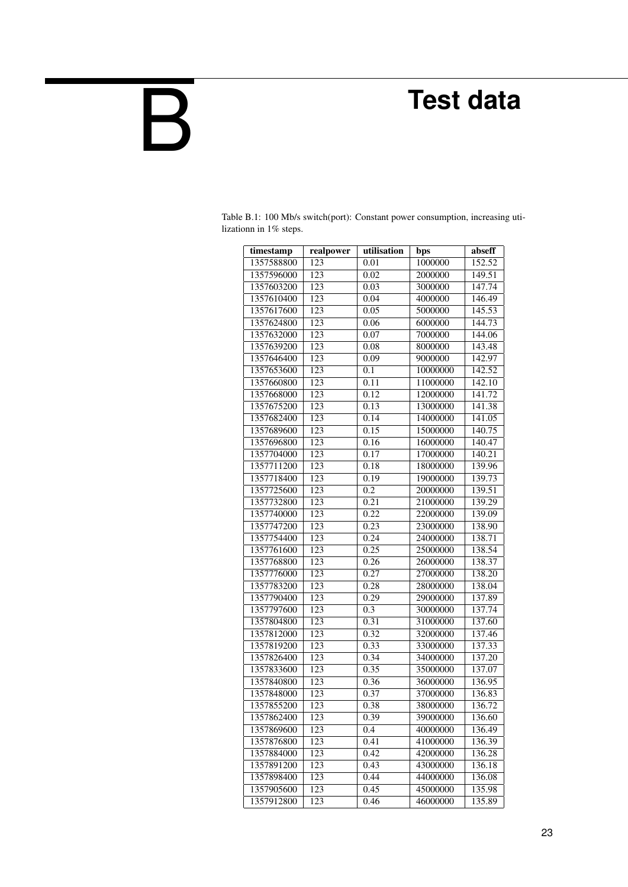# **Test data**

<span id="page-24-0"></span>B

| timestamp  | realpower | utilisation      | bps      | abseff |
|------------|-----------|------------------|----------|--------|
| 1357588800 | 123       | 0.01             | 1000000  | 152.52 |
| 1357596000 | 123       | 0.02             | 2000000  | 149.51 |
| 1357603200 | 123       | 0.03             | 3000000  | 147.74 |
| 1357610400 | 123       | 0.04             | 4000000  | 146.49 |
| 1357617600 | 123       | 0.05             | 5000000  | 145.53 |
| 1357624800 | 123       | 0.06             | 6000000  | 144.73 |
| 1357632000 | 123       | 0.07             | 7000000  | 144.06 |
| 1357639200 | 123       | 0.08             | 8000000  | 143.48 |
| 1357646400 | 123       | 0.09             | 9000000  | 142.97 |
| 1357653600 | 123       | 0.1              | 10000000 | 142.52 |
| 1357660800 | 123       | 0.11             | 11000000 | 142.10 |
| 1357668000 | 123       | 0.12             | 12000000 | 141.72 |
| 1357675200 | 123       | 0.13             | 13000000 | 141.38 |
| 1357682400 | 123       | 0.14             | 14000000 | 141.05 |
| 1357689600 | 123       | 0.15             | 15000000 | 140.75 |
| 1357696800 | 123       | 0.16             | 16000000 | 140.47 |
| 1357704000 | 123       | 0.17             | 17000000 | 140.21 |
| 1357711200 | 123       | 0.18             | 18000000 | 139.96 |
| 1357718400 | 123       | 0.19             | 19000000 | 139.73 |
| 1357725600 | 123       | 0.2              | 20000000 | 139.51 |
| 1357732800 | 123       | 0.21             | 21000000 | 139.29 |
| 1357740000 | 123       | 0.22             | 22000000 | 139.09 |
| 1357747200 | 123       | 0.23             | 23000000 | 138.90 |
| 1357754400 | 123       | 0.24             | 24000000 | 138.71 |
| 1357761600 | 123       | 0.25             | 25000000 | 138.54 |
| 1357768800 | 123       | 0.26             | 26000000 | 138.37 |
| 1357776000 | 123       | 0.27             | 27000000 | 138.20 |
| 1357783200 | 123       | 0.28             | 28000000 | 138.04 |
| 1357790400 | 123       | 0.29             | 29000000 | 137.89 |
| 1357797600 | 123       | $\overline{0.3}$ | 30000000 | 137.74 |
| 1357804800 | 123       | 0.31             | 31000000 | 137.60 |
| 1357812000 | 123       | 0.32             | 32000000 | 137.46 |
| 1357819200 | 123       | 0.33             | 33000000 | 137.33 |
| 1357826400 | 123       | 0.34             | 34000000 | 137.20 |
| 1357833600 | 123       | 0.35             | 35000000 | 137.07 |
| 1357840800 | 123       | 0.36             | 36000000 | 136.95 |
| 1357848000 | 123       | 0.37             | 37000000 | 136.83 |
| 1357855200 | 123       | 0.38             | 38000000 | 136.72 |
| 1357862400 | 123       | 0.39             | 39000000 | 136.60 |
| 1357869600 | 123       | 0.4              | 40000000 | 136.49 |
| 1357876800 | 123       | 0.41             | 41000000 | 136.39 |
| 1357884000 | 123       | 0.42             | 42000000 | 136.28 |
| 1357891200 | 123       | 0.43             | 43000000 | 136.18 |
| 1357898400 | 123       | 0.44             | 44000000 | 136.08 |
| 1357905600 | 123       | 0.45             | 45000000 | 135.98 |
| 1357912800 | 123       | 0.46             | 46000000 | 135.89 |

Table B.1: 100 Mb/s switch(port): Constant power consumption, increasing utilizationn in 1% steps.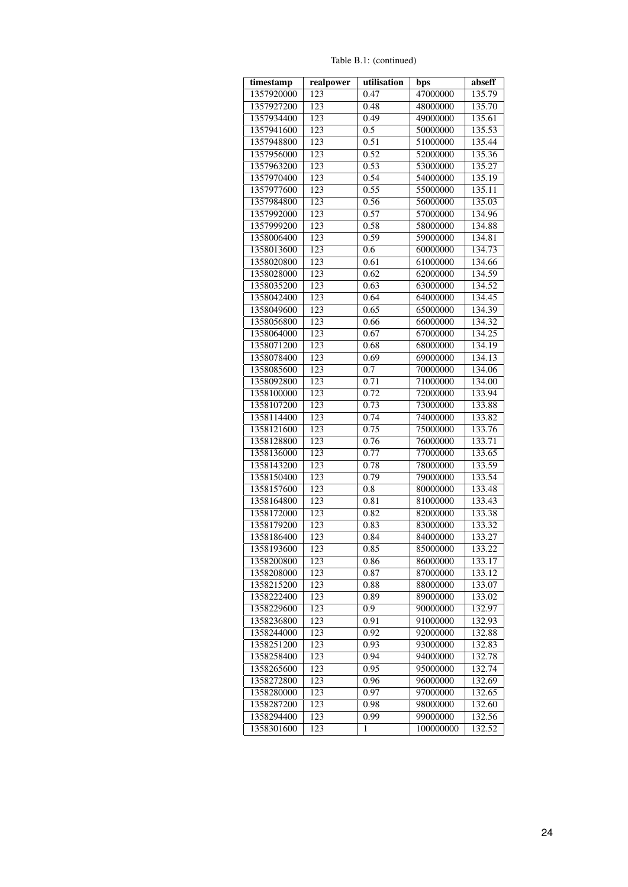Table B.1: (continued)

| timestamp  | realpower        | utilisation | bps       | abseff |
|------------|------------------|-------------|-----------|--------|
| 1357920000 | 123              | 0.47        | 47000000  | 135.79 |
| 1357927200 | 123              | 0.48        | 48000000  | 135.70 |
| 1357934400 | 123              | 0.49        | 49000000  | 135.61 |
| 1357941600 | 123              | 0.5         | 50000000  | 135.53 |
| 1357948800 | 123              | 0.51        | 51000000  | 135.44 |
| 1357956000 | 123              | 0.52        | 52000000  | 135.36 |
| 1357963200 | 123              | 0.53        | 53000000  | 135.27 |
| 1357970400 | 123              | 0.54        | 54000000  | 135.19 |
| 1357977600 | 123              | 0.55        | 55000000  | 135.11 |
| 1357984800 | 123              | 0.56        | 56000000  | 135.03 |
| 1357992000 | 123              | 0.57        | 57000000  | 134.96 |
| 1357999200 | 123              | 0.58        | 58000000  | 134.88 |
| 1358006400 | 123              | 0.59        | 59000000  | 134.81 |
| 1358013600 | 123              | 0.6         | 60000000  | 134.73 |
| 1358020800 | 123              | 0.61        | 61000000  | 134.66 |
| 1358028000 | 123              | 0.62        | 62000000  | 134.59 |
| 1358035200 | 123              | 0.63        | 63000000  | 134.52 |
| 1358042400 | 123              | 0.64        | 64000000  | 134.45 |
| 1358049600 | 123              | 0.65        | 65000000  | 134.39 |
| 1358056800 | 123              | 0.66        | 66000000  | 134.32 |
| 1358064000 | 123              | 0.67        | 67000000  | 134.25 |
| 1358071200 | 123              | 0.68        | 68000000  | 134.19 |
| 1358078400 | 123              | 0.69        | 69000000  | 134.13 |
| 1358085600 | 123              | 0.7         | 70000000  | 134.06 |
| 1358092800 | 123              | 0.71        | 71000000  | 134.00 |
| 1358100000 | 123              | 0.72        | 72000000  | 133.94 |
| 1358107200 | 123              | 0.73        | 73000000  | 133.88 |
| 1358114400 | 123              | 0.74        | 74000000  | 133.82 |
| 1358121600 | 123              | 0.75        | 75000000  | 133.76 |
| 1358128800 | 123              | 0.76        | 76000000  | 133.71 |
| 1358136000 | 123              | 0.77        | 77000000  | 133.65 |
| 1358143200 | 123              | 0.78        | 78000000  | 133.59 |
| 1358150400 | 123              | 0.79        | 79000000  | 133.54 |
| 1358157600 | 123              | 0.8         | 80000000  | 133.48 |
| 1358164800 | 123              | 0.81        | 81000000  | 133.43 |
| 1358172000 | 123              | 0.82        | 82000000  | 133.38 |
| 1358179200 | 123              | 0.83        | 83000000  | 133.32 |
| 1358186400 | 123              | 0.84        | 84000000  | 133.27 |
| 1358193600 | 123              | 0.85        | 85000000  | 133.22 |
| 1358200800 | 123              | 0.86        | 86000000  | 133.17 |
| 1358208000 | 123              | 0.87        | 87000000  | 133.12 |
| 1358215200 | 123              | 0.88        | 88000000  | 133.07 |
| 1358222400 | 123              | 0.89        | 89000000  | 133.02 |
| 1358229600 | 123              | 0.9         | 90000000  | 132.97 |
| 1358236800 | 123              | 0.91        | 91000000  | 132.93 |
| 1358244000 | 123              | 0.92        | 92000000  | 132.88 |
| 1358251200 | 123              | 0.93        | 93000000  | 132.83 |
| 1358258400 | $\overline{123}$ | 0.94        | 94000000  | 132.78 |
| 1358265600 | 123              | 0.95        | 95000000  | 132.74 |
| 1358272800 | 123              | 0.96        | 96000000  | 132.69 |
| 1358280000 | 123              | 0.97        | 97000000  | 132.65 |
| 1358287200 | 123              | 0.98        | 98000000  | 132.60 |
| 1358294400 | 123              | 0.99        | 99000000  | 132.56 |
| 1358301600 | 123              | 1           | 100000000 | 132.52 |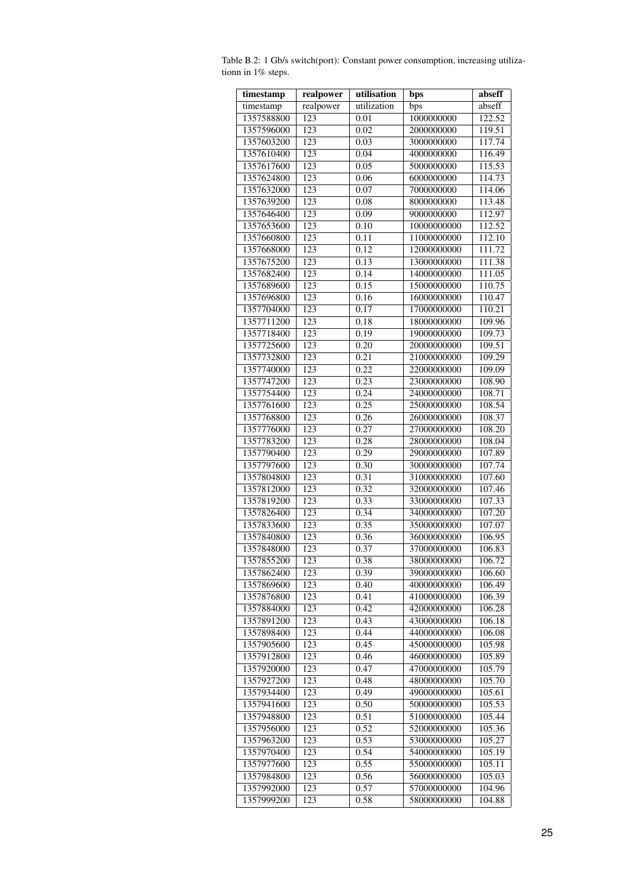| timestamp                | realpower        | utilisation  | bps                        | abseff           |
|--------------------------|------------------|--------------|----------------------------|------------------|
| timestamp                | realpower        | utilization  | bps                        | abseff           |
| 1357588800               | 123              | 0.01         | 1000000000                 | 122.52           |
| 1357596000               | 123              | 0.02         | 2000000000                 | 119.51           |
| 1357603200               | 123              | 0.03         | 3000000000                 | 117.74           |
| 1357610400               | 123              | 0.04         | 4000000000                 | 116.49           |
| 1357617600               | 123              | 0.05         | 5000000000                 | 115.53           |
| 1357624800               | 123              | 0.06         | 6000000000                 | 114.73           |
| 1357632000               | 123              | 0.07         | 7000000000                 | 114.06           |
| 1357639200               | 123              | 0.08         | 8000000000                 | 113.48           |
| 1357646400               | 123              | 0.09         | 9000000000                 | 112.97           |
| 1357653600               | 123              | 0.10         | 10000000000                | 112.52           |
| 1357660800               | 123              | 0.11         | 11000000000                | 112.10           |
| 1357668000               | 123              | 0.12         | 12000000000                | 111.72           |
| 1357675200               | 123              | 0.13         | 13000000000                | 111.38           |
| 1357682400               | 123              | 0.14         | 14000000000                | 111.05           |
| 1357689600               | 123              | 0.15         | 15000000000                | 110.75           |
| 1357696800               | 123              | 0.16         | 16000000000                | 110.47           |
| 1357704000               | 123              | 0.17         | 17000000000                | 110.21           |
| 1357711200               | 123              | 0.18         | 18000000000                | 109.96           |
| 1357718400               | 123              | 0.19         | 19000000000                | 109.73           |
| 1357725600               | 123              | 0.20         | 20000000000                | 109.51           |
| 1357732800               | $\overline{123}$ | 0.21         | 21000000000                | 109.29           |
| 1357740000               | 123              | 0.22         | 22000000000                | 109.09           |
| 1357747200               | 123              | 0.23         | 23000000000                | 108.90           |
| 1357754400               | 123              | 0.24         | 24000000000                | 108.71           |
| 1357761600               | 123              | 0.25         | 25000000000                | 108.54           |
| 1357768800               | 123              | 0.26         | 26000000000                | 108.37           |
| 1357776000               | 123              | 0.27         | 27000000000                | 108.20           |
| 1357783200               | 123              | 0.28         | 28000000000                | 108.04           |
| 1357790400               | 123              | 0.29         | 29000000000                | 107.89           |
|                          | 123              |              |                            | 107.74           |
| 1357797600<br>1357804800 | 123              | 0.30<br>0.31 | 30000000000<br>31000000000 | 107.60           |
| 1357812000               | 123              | 0.32         | 32000000000                |                  |
| 1357819200               | 123              | 0.33         | 33000000000                | 107.46<br>107.33 |
| 1357826400               | 123              | 0.34         | 34000000000                | 107.20           |
| 1357833600               | 123              | 0.35         | 35000000000                | 107.07           |
| 1357840800               | 123              | 0.36         | 36000000000                | 106.95           |
| 1357848000               | 123              |              | 37000000000                | 106.83           |
|                          |                  | 0.37         |                            |                  |
| 1357855200               | 123              | 0.38         | 38000000000                | 106.72           |
| 1357862400               | 123              | 0.39         | 39000000000                | 106.60           |
| 1357869600               | 123              | 0.40         | 40000000000                | 106.49           |
| 1357876800               | 123              | 0.41         | 41000000000                | 106.39           |
| 1357884000               | 123              | 0.42         | 42000000000                | 106.28           |
| 1357891200               | $\overline{123}$ | 0.43         | 43000000000                | 106.18           |
| 1357898400               | 123              | 0.44         | 44000000000                | 106.08           |
| 1357905600               | 123              | 0.45         | 45000000000                | 105.98           |
| 1357912800               | 123              | 0.46         | 46000000000                | 105.89           |
| 1357920000               | 123              | 0.47         | 47000000000                | 105.79           |
| 1357927200               | 123              | 0.48         | 48000000000                | 105.70           |
| 1357934400               | 123              | 0.49         | 49000000000                | 105.61           |
| 1357941600               | 123              | 0.50         | 50000000000                | 105.53           |
| 1357948800               | 123              | 0.51         | 51000000000                | 105.44           |
| 1357956000               | 123              | 0.52         | 52000000000                | 105.36           |
| 1357963200               | 123              | 0.53         | 53000000000                | 105.27           |
| 1357970400               | 123              | 0.54         | 54000000000                | 105.19           |
| 1357977600               | 123              | 0.55         | 55000000000                | 105.11           |
| 1357984800               | 123              | 0.56         | 56000000000                | 105.03           |
| 1357992000               | 123              | 0.57         | 57000000000                | 104.96           |
| 1357999200               | 123              | 0.58         | 58000000000                | 104.88           |

Table B.2: 1 Gb/s switch(port): Constant power consumption, increasing utilizationn in 1% steps.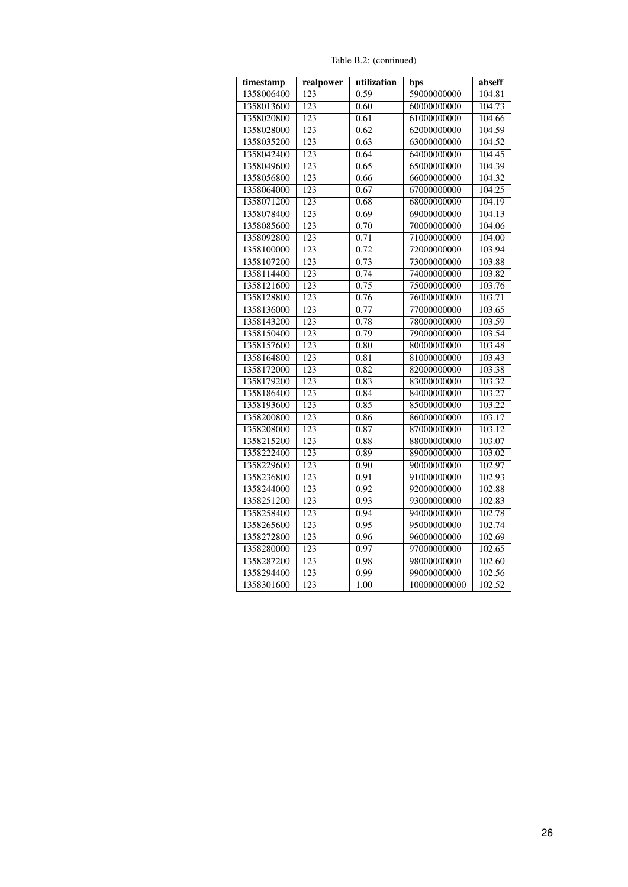Table B.2: (continued)

| timestamp  | realpower        | utilization | bps          | abseff |
|------------|------------------|-------------|--------------|--------|
| 1358006400 | 123              | 0.59        | 59000000000  | 104.81 |
| 1358013600 | $\overline{123}$ | 0.60        | 60000000000  | 104.73 |
| 1358020800 | 123              | 0.61        | 61000000000  | 104.66 |
| 1358028000 | 123              | 0.62        | 62000000000  | 104.59 |
| 1358035200 | 123              | 0.63        | 63000000000  | 104.52 |
| 1358042400 | 123              | 0.64        | 64000000000  | 104.45 |
| 1358049600 | 123              | 0.65        | 65000000000  | 104.39 |
| 1358056800 | 123              | 0.66        | 66000000000  | 104.32 |
| 1358064000 | 123              | 0.67        | 67000000000  | 104.25 |
| 1358071200 | 123              | 0.68        | 68000000000  | 104.19 |
| 1358078400 | 123              | 0.69        | 69000000000  | 104.13 |
| 1358085600 | 123              | 0.70        | 70000000000  | 104.06 |
| 1358092800 | 123              | 0.71        | 71000000000  | 104.00 |
| 1358100000 | 123              | 0.72        | 72000000000  | 103.94 |
| 1358107200 | 123              | 0.73        | 73000000000  | 103.88 |
| 1358114400 | 123              | 0.74        | 74000000000  | 103.82 |
| 1358121600 | 123              | 0.75        | 75000000000  | 103.76 |
| 1358128800 | 123              | 0.76        | 76000000000  | 103.71 |
| 1358136000 | 123              | 0.77        | 77000000000  | 103.65 |
| 1358143200 | 123              | 0.78        | 78000000000  | 103.59 |
| 1358150400 | 123              | 0.79        | 79000000000  | 103.54 |
| 1358157600 | 123              | 0.80        | 80000000000  | 103.48 |
| 1358164800 | 123              | 0.81        | 81000000000  | 103.43 |
| 1358172000 | 123              | 0.82        | 82000000000  | 103.38 |
| 1358179200 | 123              | 0.83        | 83000000000  | 103.32 |
| 1358186400 | $\overline{123}$ | 0.84        | 84000000000  | 103.27 |
| 1358193600 | 123              | 0.85        | 85000000000  | 103.22 |
| 1358200800 | 123              | 0.86        | 86000000000  | 103.17 |
| 1358208000 | 123              | 0.87        | 87000000000  | 103.12 |
| 1358215200 | 123              | 0.88        | 88000000000  | 103.07 |
| 1358222400 | 123              | 0.89        | 89000000000  | 103.02 |
| 1358229600 | 123              | 0.90        | 90000000000  | 102.97 |
| 1358236800 | 123              | 0.91        | 91000000000  | 102.93 |
| 1358244000 | 123              | 0.92        | 92000000000  | 102.88 |
| 1358251200 | 123              | 0.93        | 93000000000  | 102.83 |
| 1358258400 | 123              | 0.94        | 94000000000  | 102.78 |
| 1358265600 | 123              | 0.95        | 95000000000  | 102.74 |
| 1358272800 | 123              | 0.96        | 96000000000  | 102.69 |
| 1358280000 | 123              | 0.97        | 97000000000  | 102.65 |
| 1358287200 | 123              | 0.98        | 98000000000  | 102.60 |
| 1358294400 | 123              | 0.99        | 99000000000  | 102.56 |
| 1358301600 | 123              | 1.00        | 100000000000 | 102.52 |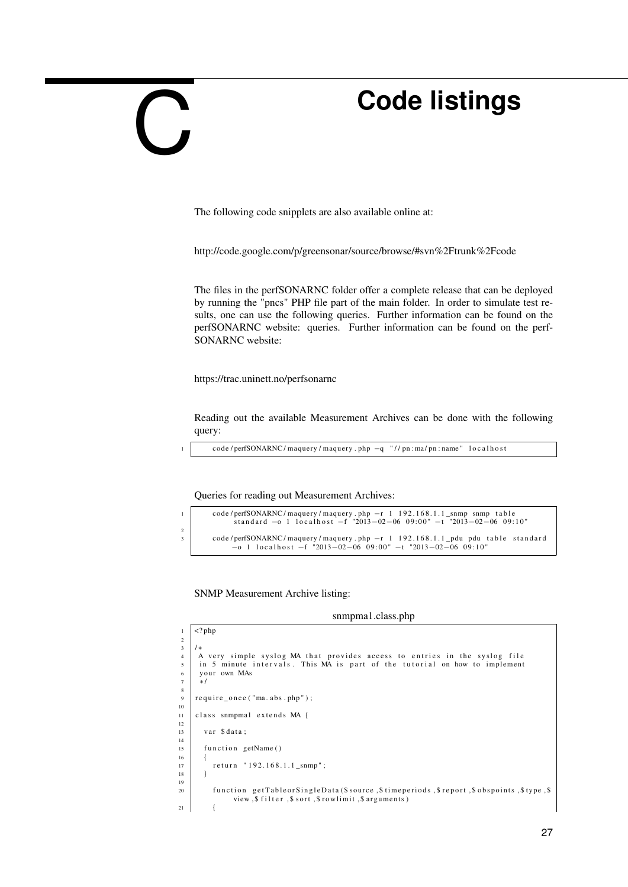# <span id="page-28-0"></span> $\overline{\phantom{a}}$

# **Code listings**

The following code snipplets are also available online at:

<http://code.google.com/p/greensonar/source/browse/#svn%2Ftrunk%2Fcode>

The files in the perfSONARNC folder offer a complete release that can be deployed by running the "pncs" PHP file part of the main folder. In order to simulate test results, one can use the following queries. Further information can be found on the perfSONARNC website: queries. Further information can be found on the perf-SONARNC website:

<https://trac.uninett.no/perfsonarnc>

Reading out the available Measurement Archives can be done with the following query:

code / perfSONARNC/maquery / maquery . php -q "// pn : ma/ pn : name" localhost

Queries for reading out Measurement Archives:

```
1 code/perfSONARNC/maquery/maquery.php −r 1 192.168.1.1_snmp snmp table<br>standard -o 1 localhost -f "2013-02-06 09:00" -t "2013-02-06 09:10"
\overline{2}3 code/perfSONARNC/maquery/maquery.php -r 1 192.168.1.1_pdu pdu table standard<br>−o 1 localhost -f "2013-02-06 09:00" -t "2013-02-06 09:10"
```
SNMP Measurement Archive listing:

 $\sqrt{\frac{2}{2nhp}}$ 

snmpma1.class.php

| $\overline{2}$ |                                                                                     |
|----------------|-------------------------------------------------------------------------------------|
| 3              | $/*$                                                                                |
| $\overline{4}$ | A very simple syslog MA that provides access to entries in the syslog file          |
| 5              | in 5 minute intervals. This MA is part of the tutorial on how to implement          |
| 6              | your own MAs                                                                        |
| $\overline{7}$ | $*′$                                                                                |
| 8              |                                                                                     |
| 9              | $require\_once("ma. abs.php")$ ;                                                    |
| 10             |                                                                                     |
| 11             | class snmpmal extends MA {                                                          |
| 12             |                                                                                     |
| 13             | var \$data:                                                                         |
| 14             |                                                                                     |
| 15             | function getName()                                                                  |
| 16             |                                                                                     |
| 17             | return "192.168.1.1 snmp";                                                          |
| 18             |                                                                                     |
| 19             |                                                                                     |
| 20             | function getTableorSingleData(\$source,\$timeperiods,\$report,\$obspoints,\$type,\$ |
|                | view, \$ filter, \$ sort, \$ rowlimit, \$ arguments)                                |
| 21             |                                                                                     |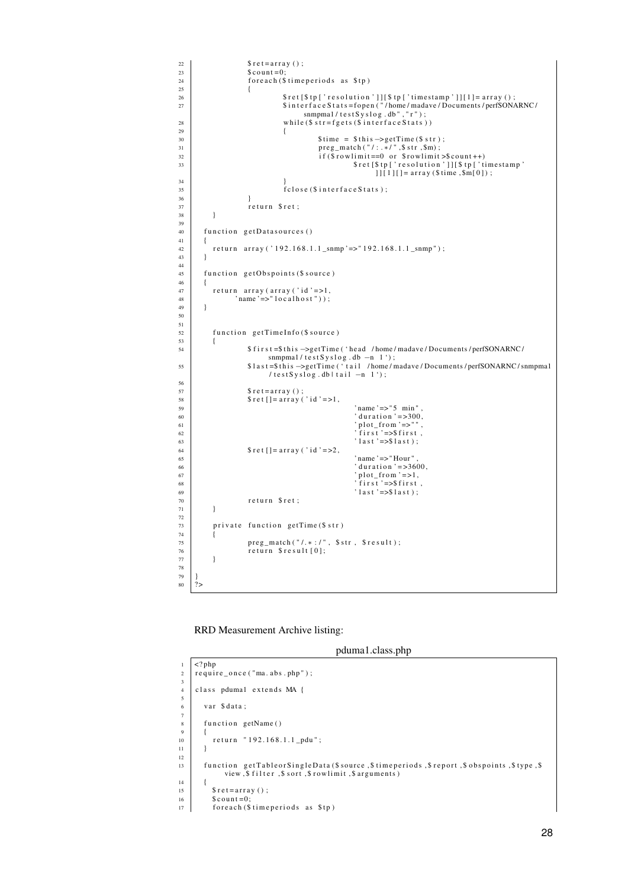```
\begin{array}{c|c}\n 22 & \text{$ set = array () ;} \\
 23 & \text{Scount = 0:}\n \end{array}$ count = 0;
\begin{array}{c|c}\n 24 \\
 25 \\
 \hline\n 4\n \end{array} for each ($time periods as $tp)
25 {
26 27 20 3 ret [$ tp [ ' resolution ' ] ] [ $ tp [ ' timestamp ' ] ] [ 1 ] = array ( ) ;<br>3 interface Stats = fopen ("/home/madave/Documents/perfSONA
                                               27 $ i n t e r f a c e S t a t s = f o p e n ( " / home / madave / Documents / perfSONARNC /
snmpma1/testSyslog.db","r");<br>while ($ str=fgets ($ interface Stats ))
29 {
30 \left.\begin{array}{c}\n30 \\
31\n\end{array}\right\} \text{time } = \text{ $$ this } \rightarrow \text{getTime ($$ str$)};\begin{array}{c|c}\n\text{preg\_match}(" / : . * / ", \$ \text{str}, \$ \text{sn}) ;\n\end{array}<br>
\text{if ($\text{rowlimit} == 0 \text{ or } \$ \text{rowlimit})}32<br>
if ($ rowlimit ==0 or $ rowlimit >$ count ++)<br>
$ ret [$ tp [' resolution ']] [$ tp [' timestamp '<br>
] [[1] [] = array ($ time , $ m[0] ) ;
34 }
\begin{array}{c} \text{S} \\ \text{S} \\ \text{S} \\ \text{S} \end{array} \qquad \qquad \begin{array}{c} \text{f close ($\$ interface} \\ \text{S} \end{array}36 }
\begin{array}{c|c}\n\text{37} \\
\text{38}\n\end{array} return $ ret;
38 }
39
\overline{40} function get Datasources ()
\frac{41}{42}r e t u r n a r r a y ( ' 192.168.1.1_snmp ' = > " 192.168.1.1_snmp " ) ;
43 }
44
45 | function getObspoints ($ source)
46 {
47 return array (array ('id' = > 1,<br>
"
name' = > "localhost"));
49 }
50
51
52 | function getTimeInfo($ source)
53 {
                               54 $ f i r s t =$ t h i s −>getTime ( ' hea d / home / madave / Documents / perfSONARNC /
                                        snmpma1/t est S y s l o g . db -n 1');
55 $1ast=$this ->getTime ('tail /home/madave/Documents/perfSONARNC/snmpmal
                                         \frac{1}{1 + \epsilon} / test Syslog.db | tail -n 1');
56
57 \quad \text{S} \text{ret} = \text{array}( ; )<br>58 \quad \text{S} \text{ret} \left[ \text{I} = \text{array}( ; ) \right]58 = 58<br>58 $ \text{ret} [ ] = \text{array} (' \text{ id } ' = >1 ,\begin{array}{c} \text{59} \\ \text{59} \\ \text{60} \end{array} ..., \begin{array}{c} \text{70} \\ \text{71} \\ \text{72} \\ \text{73} \end{array} ..., \begin{array}{c} \text{72} \\ \text{73} \\ \text{74} \\ \text{75} \end{array} ..., \begin{array}{c} \text{75} \\ \text{76} \\ \text{77} \\ \text{78} \end{array}60 ^{60} duration '=>300, ^{61} duration '=>300, ^{61} plot_from '=>" ^{10},
\begin{array}{c} \text{61} \\ \text{62} \\ \text{63} \end{array} ' plot_from '=>" ",<br>' first' =>$first,
62 \begin{bmatrix} 62 \\ 63 \end{bmatrix} ' first' =>$first,<br>' last' =>$last);
64 \left| \int_{65} \int \text{erf} \left[ \right] = \arctan \left( \int \text{d}^3 \right) = 2,65<br>
66<br>
66<br>
67<br>
68<br>
69<br>
711<br>
1111<br>
1111<br>
1111<br>
1111<br>
1111
1111
1111
1111
1111
1111
1111
1111
1111
1111
1111
1111
1111
1111
1111
1111
1111
1111
1111
1111
1111\begin{array}{c|c} 66 & \text{d} \\ 66 & \text{d} \\ 67 & \text{d} \end{array} ' duration' =>3600, \begin{array}{c} 66 \\ \text{d} \end{array}\begin{array}{c} \text{67} \\ \text{68} \\ \text{68} \end{array} \begin{array}{c} \text{7} \\ \text{7} \\ \text{88} \end{array} \begin{array}{c} \text{7} \\ \text{7} \\ \text{7} \\ \text{88} \end{array}69 ' l a s t ' =>$ l a s t ) ;
\begin{array}{c|c}\n\hline\n70 & & \text{return } \$ \text{ret} \\
\hline\n71 & & \end{array}\overline{71}72
               private function getTime ($ str)
74 {
75 preg_match ("/.* : /", $str, $result);<br>76 return $result [0];
\begin{array}{c} 77 \\ -77 \end{array} }
78
79<br>80
       2\geq
```
RRD Measurement Archive listing:

|                | pduma1.class.php                                                                                                                            |
|----------------|---------------------------------------------------------------------------------------------------------------------------------------------|
| 1              | $\langle$ ?php                                                                                                                              |
| $\overline{2}$ | $require\_once("ma. abs.php")$ ;                                                                                                            |
| 3              |                                                                                                                                             |
| $\overline{4}$ | class pdumal extends MA {                                                                                                                   |
| 5              |                                                                                                                                             |
| 6<br>7         | var \$data:                                                                                                                                 |
| 8              | function getName()                                                                                                                          |
| 9              |                                                                                                                                             |
| 10             | return "192.168.1.1_pdu";                                                                                                                   |
| 11             |                                                                                                                                             |
| 12             |                                                                                                                                             |
| 13             | function getTableorSingleData(\$source,\$timeperiods,\$report,\$obspoints,\$type,\$<br>view, \$ filter, \$ sort, \$ rowlimit, \$ arguments) |
| 14             |                                                                                                                                             |
| 15             | $$ret = array()$ ;                                                                                                                          |
| 16             | $%$ count=0;                                                                                                                                |
| 17             | foreach (\$timeperiods as \$tp)                                                                                                             |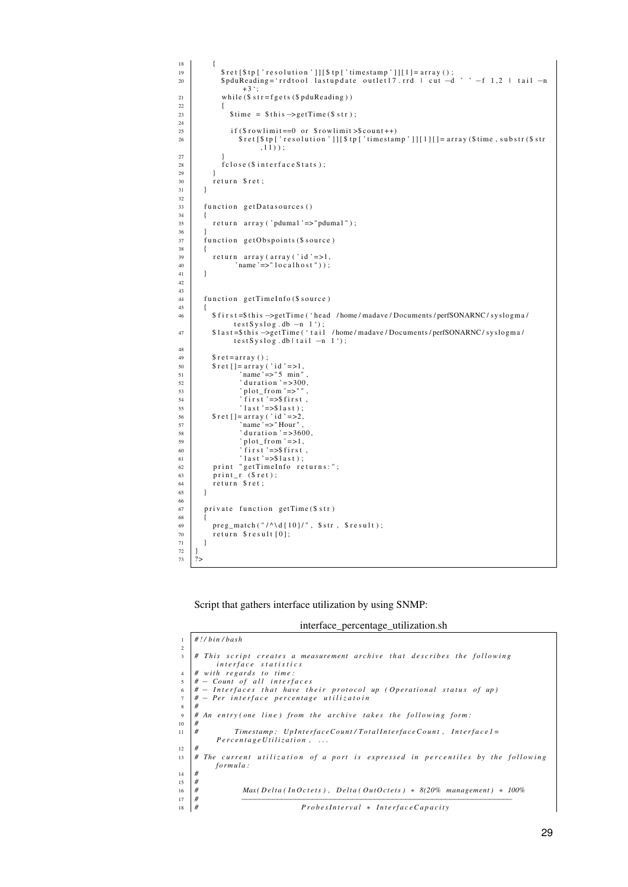```
\begin{array}{c|c} 18 \\ 19 \end{array} {
 19 $ r e t [ $ t p [ ' r e s o l u t i o n ' ] ] [ $ t p [ ' tim e st am p ' ] ] [ 1 ] = a r r a y ( ) ;
20 $ p d uRea di n g = ' r r d t o o l l a s t u p d a t e o u t l e t 1 7 . r r d | c u t −d ' ' −f 1 , 2 | t a i l −n
                                  +3 ';
21 while (\$ str = fgets ($pduReading) )\begin{array}{|c|c|c|}\n\hline\n22 & & & \{23 & & \end{array}$ time = $ this \rightarrow getTime ($ str);24
 25 if ($ rowlimit ==0 or $ rowlimit >$ count ++)<br>36 $ ret [$ tp [ 'resolution ' ]] [$ tp [ 'timestamp ' ]] [1] [] = array ($ time , substr ($ str
                                           , 11) );
\frac{27}{28}fclose ($ interface Stats);
29 }
\begin{array}{c|c}\n30 \\
31\n\end{array} return $ ret;
\frac{1}{31}32
             function getDatasources ()
34<br>35return \ array('pduma1' => "pduma1");
36 }
             \int function get Obspoints ($ source)
\begin{array}{c|c} 38 & \phantom{0}\phantom{0} & \phantom{0}\phantom{0}\phantom{0} \end{array}\begin{array}{c} \text{39} \\ \text{40} \end{array} return array (array ('id'=>1,<br>
'name'=>"localhost"));
             ' name '=>" loc\text{ al host" }) ;
41 }
42
43
             function getTimeInfo($ source)
45 {
                 46 $ f i r s t =$ t h i s −>getTime ( ' hea d / home / madave / Documents / perfSONARNC / s y sl o gm a /
 t e st S y s l o g . db −n 1');<br>$1a s t = $ t h i s ->get Time ('t a i l / home/madave / Documents / perfSONARNC / s y s l o gm a /
                            t \in s \in S y s log. db | t a i l -n 1');
48
\begin{array}{c|c} 49 & \text{$ret=array ()}; \\ 50 & \text{$ret[]=array(} \end{array}50 $ r e t [] = a r r a y (' i d' = > 1,<br>
51 name ' = > " 5 min",<br>
52 duration ' = > 300,
 53 <br>54 ' plot_from '=>"",<br>first '=>$first,
55<br>55 \left\{\n\begin{array}{c}\n\text{3} \times \text{3} \\
\text{4} \times \text{4} \\
\text{5} \times \text{5} \\
\text{6}\n\end{array}\n\right.\n\quad \text{3} \times \text{3} \times \text{4} \times \text{5} \times \text{5} \times \text{6}56 \left| \int_{57} \int_{0} \int_{0} \int_{0} \int_{0} \int_{0} \int_{0} \int_{0} \int_{0} \int_{0} \int_{0} \int_{0} \int_{0} \int_{0} \int_{0} \int_{0} \int_{0} \int_{0} \int_{0} \int_{0} \int_{0} \int_{0} \int_{0} \int_{0} \int_{0} \int_{0} \int_{0}57 \quad \text{name'} = > "Hour"<br>
38 \quad \text{duration'} = > 3658<br>
59 ' duration '=>3600,<br>
10t_from '=>1,
 60 ' f i r s t ' =>$ f i r s t ,
61 ' l a s t ' =>$ l a s t ) ;
62 print "getTimeInfo returns:";<br>print_r ($ret);
 63 print_r ($ret);<br>64 return $ret;
65 \mid \}66
             private function getTime ($str)68 {
\begin{array}{c} 69 \\ 70 \end{array} preg_match("/^\d{10}/", $str, $result);<br>
return $result[0];
                  return $ result [0];71 }
\frac{72}{73}2
```
Script that gathers interface utilization by using SNMP:

|  | interface_percentage_utilization.sh |
|--|-------------------------------------|
|  |                                     |

| $\mathbf{1}$<br>2 | $\#!/bin/bash$                                                                   |
|-------------------|----------------------------------------------------------------------------------|
|                   |                                                                                  |
|                   |                                                                                  |
| 3                 | # This script creates a measurement archive that describes the following         |
|                   | interface statistics                                                             |
| $\overline{4}$    | # with regards to time:                                                          |
| 5                 | $# - Count of all interfaces$                                                    |
| 6                 | $#$ - Interfaces that have their protocol up (Operational status of up)          |
|                   | $#$ - Per interface percentage utilizatoin                                       |
| 8                 | #                                                                                |
| 9                 | # An entry(one line) from the archive takes the following form:                  |
| 10                | #                                                                                |
| 11                | #<br>Timestamp: UpInterfaceCount/TotalInterfaceCount, Interface1=                |
|                   | PercentageUtilization,                                                           |
| 12                | #                                                                                |
| 13                | # The current utilization of a port is expressed in percentiles by the following |
|                   | formula:                                                                         |
| 14                | #                                                                                |
| 15                | #                                                                                |
| 16                | #<br>$Max(Delta(Index), Delta(OutOct) \rightarrow 8(20\%)$ management) * 100%    |
| 17                | #                                                                                |
| 18                | ProbesInterval * InterfaceCapacity<br>#                                          |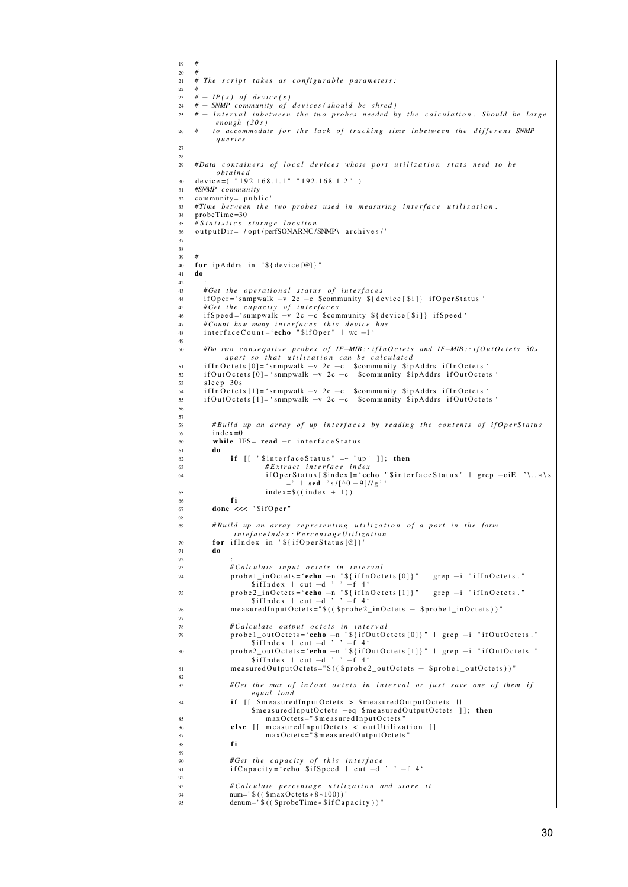```
\begin{array}{c|c|c}\n 19 & # \\
\hline\n20 & # \\
 \end{array}20 #
21 \# The script takes as configurable parameters:
22 #
      # - IP(s) of device(s)
24 \# – SNMP community of devices (should be shred)<br>25 \# – Interval inbetween the two probes needed b
      # − Interval inbetween the two probes needed by the calculation. Should be large
             enough ( 3 0 s )
26 # to accommodate for the lack of tracking time inhetween the different SNMP
              q u e r i e s
27
28
<sup>29</sup> #Data containers of local devices whose port utilization stats need to be
              o b t a i n e d
\begin{array}{c|c} \text{30} & \text{device} = ( \text{ } ^{6} \text{ } 192.168.1.1 \text{ } ^{8} \text{ } ^{1} \text{ } 192.168.1.2 \text{ } ^{8} \text{)} \\ \text{31} & \text{#S NMP} \text{ community} \end{array}31 #SNMP c omm u nity
32 community=" public"<br>\frac{32}{\# Time\ between\ the}33 # Time between the two probes used in measuring interface utilization.
34 | probeTime=30
35 # S t a t i s t i c s s t o r a g e l o c a t i o n
36 | out put Dir = " / opt / perfSONARNC / SNMP\ archives / "
37
38
39 #
40 for ip Addrs in "${ device [@] }"
      41 do
42.\begin{array}{c|c|c|c|c|c} \n# Get the operational status of interfaces \nif One r = 'sum m walk - v ? c - c S community S de \n\end{array}44 if Oper = 'snmpwalk -v 2c -c $community {\cal S}{ device [$i]} if OperStatus '<br>#Get the capacity of interfaces
45 #Get the capacity of interfaces<br>46 ifSpeed='snmpwalk - v 2c - c $com
46 if Speed = 'snmpwalk -v 2c -c $community ${ device [$i] } if Speed '<br>#Count how many interfaces this device has
47 # Count how many i n t e r f a c e s t h i s d e v i c e h a s
48 i n t e r f a c e C o u n t = ' echo " $i f O p e r " | wc −l '
49
50 #Do two c o n s e q u t i v e p r o b e s o f IF−MIB : : i f I n O c t e t s and IF−MIB : : i f O u t O c t e t s 30 s
                 apart so that utilization can be calculated
51 | if In Octets [0]='snmpwalk −v 2c −c $community $ipAddrs if In Octets'<br>52 | if Out Octets [0]='snmpwalk −v 2c −c $community $ipAddrs if Out Octets'
53 sleep 30 s
54 | if In Octets [1]='snmpwalk −v 2c −c $community $ipAddrs if In Octets'<br>55 | if Out Octets [1]='snmpwalk −v 2c −c $community $ipAddrs if Out Octets'
56
\frac{57}{58}58 #Build up an array of up interfaces by reading the contents of if Oper Status<br>so index=0
            index =0\overline{60} while IFS= read -r interfaceStatus
\int_{62} do
\begin{array}{c|c}\n\hline\n\text{62} & \text{if } [[ \text{ "Sinterface Status" } =& - \text{ "up" } ] ]; \text{ then } \\
\hline\n\text{63} & \# Extract \text{ interface } index\n\end{array}63 <br>
64 #Extract interface index<br>
if OperStatus [$index ]= 'ec
64 \begin{array}{|l|l|}\n\hline\n64 \end{array} if Oper Status [$index ]= 'echo "$ interface Status " | grep -oiE '\..*\s
65 index=$((index + 1))66 fi
\overline{67} done \overline{67} sifOper"
68
<sup>69</sup> #Build up an array representing utilization of a port in the form<br>intefaceIndex:PercentageUtilization
70 for if Index in "${if Oper Status [@]}
\frac{1}{71} do
72 :
#Calculate input octets in interval<br>probel_inOctets='echo --n "${ifInOctets[0]}" | grep -i "ifInOctets."<br>$ifIndex | cut --d ' ' --f 4'
75 probe2_inOctets='echo −n "${ifInOctets [1]}" | grep −i "ifInOctets."<br>$ifIndex | cut −d ' ' −f 4'
76 measuredInputOctets="$(($probe2_inOctets – $probe1_inOctets))"
77
                   # Calculate output octets in interval
79 probel_outOctets='echo −n "${ifOutOctets[0]}" | grep −i "ifOutOctets."<br>$ifIndex | cut −d ' ' −f 4'
80 probe2_outOctets='echo −n "${ifOutOctets[1]}" | grep −i "ifOutOctets."<br>$ifIndex | cut −d ' ' −f 4'
81 measured Output Octets="$(($probe2_out Octets - $probe1_out Octets))"
82
83 #Get the max of in/out octets in interval or just save one of them if
                           e q u al l o a d
\begin{array}{c|c|c|c|c|c} \n\text{if} & \text{if} & \text{if} & \text{if} & \text{if} & \text{if} & \text{if} & \text{if} & \text{if} & \text{if} & \text{if} & \text{if} & \text{if} & \text{if} & \text{if} & \text{if} & \text{if} & \text{if} & \text{if} & \text{if} & \text{if} & \text{if} & \text{if} & \text{if} & \text{if} & \text{if} & \text{if} & \text{if} & \text{if} & \text{if} & \text{if} & \text{if} & \text{if} & \text{$ measured InputOctets -eq $ measured OutputOctets]; then
85 measured Input Octets = "$measured Input Octets"
\begin{array}{c|c|c|c|c|c|c|c|c} \hline \text{else} & \text{if} & \text{measuredInputOctets} < & \text{outUtilization} \\ \hline \text{vs} & \text{maxOctets}^{-1} \text{``measuredOutput} & \text{OutOutputOctets''} \end{array}\begin{array}{c|c}\n\hline\n\text{so} & \text{if} \\
\hline\n\text{maxOctets} = \text{``SmeasuredOutputOctets}\n\end{array}88 fi
89
90 #Get the capacity of this interface
91 \vert if Capacity = 'echo $if Speed | cut -d ' ' -f 4 '
92
93 #Calculate percentage utilization and store it
94 num="$(($maxOctets ∗8∗100))"<br>95 denum="$(($probeTime∗$ifCapacity))"
```